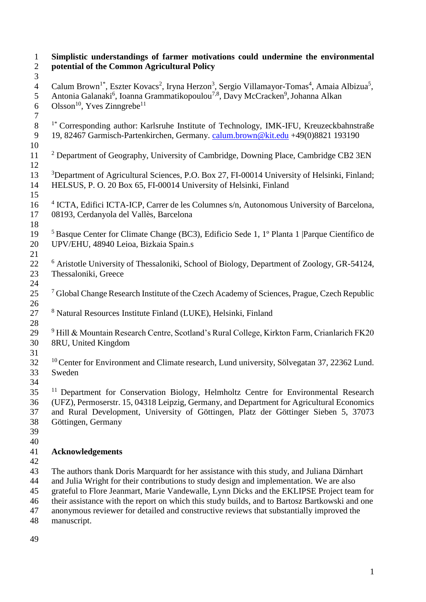| $\mathbf{1}$<br>$\mathbf{2}$     | Simplistic understandings of farmer motivations could undermine the environmental<br>potential of the Common Agricultural Policy                                                                                                                                                                                                                                                                                                                                                                 |  |  |  |  |  |
|----------------------------------|--------------------------------------------------------------------------------------------------------------------------------------------------------------------------------------------------------------------------------------------------------------------------------------------------------------------------------------------------------------------------------------------------------------------------------------------------------------------------------------------------|--|--|--|--|--|
| 3<br>$\overline{4}$<br>5         | Calum Brown <sup>1*</sup> , Eszter Kovacs <sup>2</sup> , Iryna Herzon <sup>3</sup> , Sergio Villamayor-Tomas <sup>4</sup> , Amaia Albizua <sup>5</sup> ,<br>Antonia Galanaki <sup>6</sup> , Ioanna Grammatikopoulou <sup>7,8</sup> , Davy McCracken <sup>9</sup> , Johanna Alkan<br>Olsson <sup>10</sup> , Yves Zinngrebe <sup>11</sup>                                                                                                                                                          |  |  |  |  |  |
| 6<br>$\overline{7}$<br>$8\,$     | <sup>1*</sup> Corresponding author: Karlsruhe Institute of Technology, IMK-IFU, Kreuzeckbahnstraße                                                                                                                                                                                                                                                                                                                                                                                               |  |  |  |  |  |
| 9<br>10                          | 19, 82467 Garmisch-Partenkirchen, Germany. calum.brown@kit.edu +49(0)8821 193190                                                                                                                                                                                                                                                                                                                                                                                                                 |  |  |  |  |  |
| 11<br>12                         | <sup>2</sup> Department of Geography, University of Cambridge, Downing Place, Cambridge CB2 3EN                                                                                                                                                                                                                                                                                                                                                                                                  |  |  |  |  |  |
| 13<br>14<br>15                   | <sup>3</sup> Department of Agricultural Sciences, P.O. Box 27, FI-00014 University of Helsinki, Finland;<br>HELSUS, P. O. 20 Box 65, FI-00014 University of Helsinki, Finland                                                                                                                                                                                                                                                                                                                    |  |  |  |  |  |
| 16<br>17<br>18                   | <sup>4</sup> ICTA, Edifici ICTA-ICP, Carrer de les Columnes s/n, Autonomous University of Barcelona,<br>08193, Cerdanyola del Vallès, Barcelona                                                                                                                                                                                                                                                                                                                                                  |  |  |  |  |  |
| 19<br>20<br>21                   | <sup>5</sup> Basque Center for Climate Change (BC3), Edificio Sede 1, 1º Planta 1   Parque Científico de<br>UPV/EHU, 48940 Leioa, Bizkaia Spain.s                                                                                                                                                                                                                                                                                                                                                |  |  |  |  |  |
| 22<br>23<br>24                   | <sup>6</sup> Aristotle University of Thessaloniki, School of Biology, Department of Zoology, GR-54124,<br>Thessaloniki, Greece                                                                                                                                                                                                                                                                                                                                                                   |  |  |  |  |  |
| 25<br>26                         | <sup>7</sup> Global Change Research Institute of the Czech Academy of Sciences, Prague, Czech Republic                                                                                                                                                                                                                                                                                                                                                                                           |  |  |  |  |  |
| 27<br>28                         | <sup>8</sup> Natural Resources Institute Finland (LUKE), Helsinki, Finland                                                                                                                                                                                                                                                                                                                                                                                                                       |  |  |  |  |  |
| 29<br>30<br>31                   | $9$ Hill & Mountain Research Centre, Scotland's Rural College, Kirkton Farm, Crianlarich FK20<br>8RU, United Kingdom                                                                                                                                                                                                                                                                                                                                                                             |  |  |  |  |  |
| 32<br>33<br>34                   | <sup>10</sup> Center for Environment and Climate research, Lund university, Sölvegatan 37, 22362 Lund.<br>Sweden                                                                                                                                                                                                                                                                                                                                                                                 |  |  |  |  |  |
| 35<br>36<br>37<br>38<br>39<br>40 | <sup>11</sup> Department for Conservation Biology, Helmholtz Centre for Environmental Research<br>(UFZ), Permoserstr. 15, 04318 Leipzig, Germany, and Department for Agricultural Economics<br>and Rural Development, University of Göttingen, Platz der Göttinger Sieben 5, 37073<br>Göttingen, Germany                                                                                                                                                                                         |  |  |  |  |  |
| 41<br>42                         | <b>Acknowledgements</b>                                                                                                                                                                                                                                                                                                                                                                                                                                                                          |  |  |  |  |  |
| 43<br>44<br>45<br>46<br>47<br>48 | The authors thank Doris Marquardt for her assistance with this study, and Juliana Därnhart<br>and Julia Wright for their contributions to study design and implementation. We are also<br>grateful to Flore Jeanmart, Marie Vandewalle, Lynn Dicks and the EKLIPSE Project team for<br>their assistance with the report on which this study builds, and to Bartosz Bartkowski and one<br>anonymous reviewer for detailed and constructive reviews that substantially improved the<br>manuscript. |  |  |  |  |  |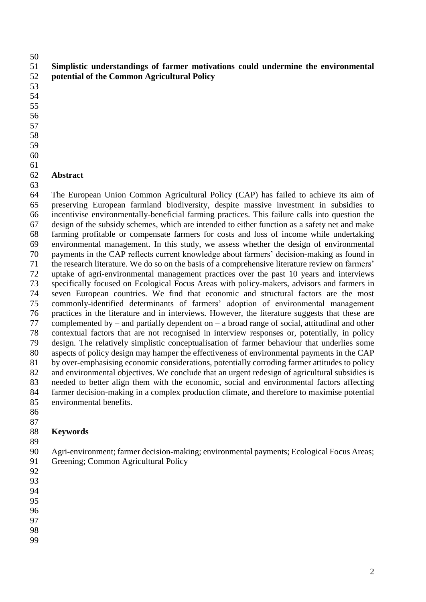#### **Simplistic understandings of farmer motivations could undermine the environmental potential of the Common Agricultural Policy**

- 
- 
- 
- 
- 
- 
- 
- 
- 
- 

#### **Abstract**

 The European Union Common Agricultural Policy (CAP) has failed to achieve its aim of preserving European farmland biodiversity, despite massive investment in subsidies to incentivise environmentally-beneficial farming practices. This failure calls into question the design of the subsidy schemes, which are intended to either function as a safety net and make farming profitable or compensate farmers for costs and loss of income while undertaking environmental management. In this study, we assess whether the design of environmental payments in the CAP reflects current knowledge about farmers' decision-making as found in the research literature. We do so on the basis of a comprehensive literature review on farmers' uptake of agri-environmental management practices over the past 10 years and interviews specifically focused on Ecological Focus Areas with policy-makers, advisors and farmers in seven European countries. We find that economic and structural factors are the most commonly-identified determinants of farmers' adoption of environmental management practices in the literature and in interviews. However, the literature suggests that these are 77 complemented by – and partially dependent on – a broad range of social, attitudinal and other contextual factors that are not recognised in interview responses or, potentially, in policy design. The relatively simplistic conceptualisation of farmer behaviour that underlies some aspects of policy design may hamper the effectiveness of environmental payments in the CAP by over-emphasising economic considerations, potentially corroding farmer attitudes to policy and environmental objectives. We conclude that an urgent redesign of agricultural subsidies is needed to better align them with the economic, social and environmental factors affecting farmer decision-making in a complex production climate, and therefore to maximise potential environmental benefits.

 

# **Keywords**

 Agri-environment; farmer decision-making; environmental payments; Ecological Focus Areas; Greening; Common Agricultural Policy

- 
- 
- 
- 
- 
- 
-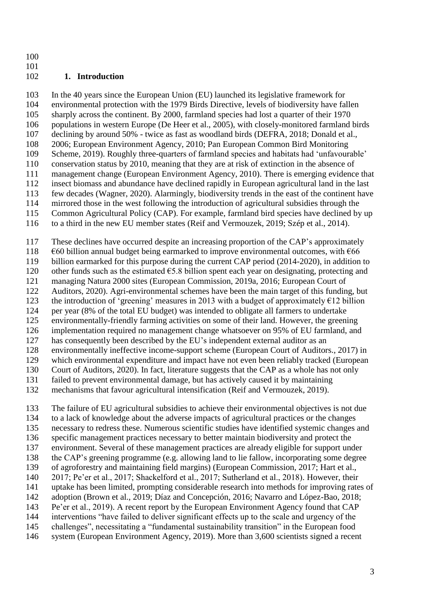### 

### **1. Introduction**

 In the 40 years since the European Union (EU) launched its legislative framework for environmental protection with the 1979 Birds Directive, levels of biodiversity have fallen sharply across the continent. By 2000, farmland species had lost a quarter of their 1970 populations in western Europe (De Heer et al., 2005), with closely-monitored farmland birds declining by around 50% - twice as fast as woodland birds (DEFRA, 2018; Donald et al., 2006; European Environment Agency, 2010; Pan European Common Bird Monitoring Scheme, 2019). Roughly three-quarters of farmland species and habitats had 'unfavourable' conservation status by 2010, meaning that they are at risk of extinction in the absence of management change (European Environment Agency, 2010). There is emerging evidence that insect biomass and abundance have declined rapidly in European agricultural land in the last few decades (Wagner, 2020). Alarmingly, biodiversity trends in the east of the continent have mirrored those in the west following the introduction of agricultural subsidies through the Common Agricultural Policy (CAP). For example, farmland bird species have declined by up to a third in the new EU member states (Reif and Vermouzek, 2019; Szép et al., 2014).

These declines have occurred despite an increasing proportion of the CAP's approximately

118  $\epsilon$ 60 billion annual budget being earmarked to improve environmental outcomes, with  $\epsilon$ 66

billion earmarked for this purpose during the current CAP period (2014-2020), in addition to

120 other funds such as the estimated  $\epsilon$ 5.8 billion spent each year on designating, protecting and

managing Natura 2000 sites (European Commission, 2019a, 2016; European Court of

 Auditors, 2020). Agri-environmental schemes have been the main target of this funding, but 123 the introduction of 'greening' measures in 2013 with a budget of approximately  $E12$  billion

per year (8% of the total EU budget) was intended to obligate all farmers to undertake

environmentally-friendly farming activities on some of their land. However, the greening

implementation required no management change whatsoever on 95% of EU farmland, and

has consequently been described by the EU's independent external auditor as an

environmentally ineffective income-support scheme (European Court of Auditors., 2017) in

which environmental expenditure and impact have not even been reliably tracked (European

Court of Auditors, 2020). In fact, literature suggests that the CAP as a whole has not only

failed to prevent environmental damage, but has actively caused it by maintaining

mechanisms that favour agricultural intensification (Reif and Vermouzek, 2019).

 The failure of EU agricultural subsidies to achieve their environmental objectives is not due to a lack of knowledge about the adverse impacts of agricultural practices or the changes necessary to redress these. Numerous scientific studies have identified systemic changes and specific management practices necessary to better maintain biodiversity and protect the environment. Several of these management practices are already eligible for support under the CAP's greening programme (e.g. allowing land to lie fallow, incorporating some degree of agroforestry and maintaining field margins) (European Commission, 2017; Hart et al., 2017; Pe'er et al., 2017; Shackelford et al., 2017; Sutherland et al., 2018). However, their uptake has been limited, prompting considerable research into methods for improving rates of adoption (Brown et al., 2019; Díaz and Concepción, 2016; Navarro and López-Bao, 2018; Pe'er et al., 2019). A recent report by the European Environment Agency found that CAP interventions "have failed to deliver significant effects up to the scale and urgency of the challenges", necessitating a "fundamental sustainability transition" in the European food system (European Environment Agency, 2019). More than 3,600 scientists signed a recent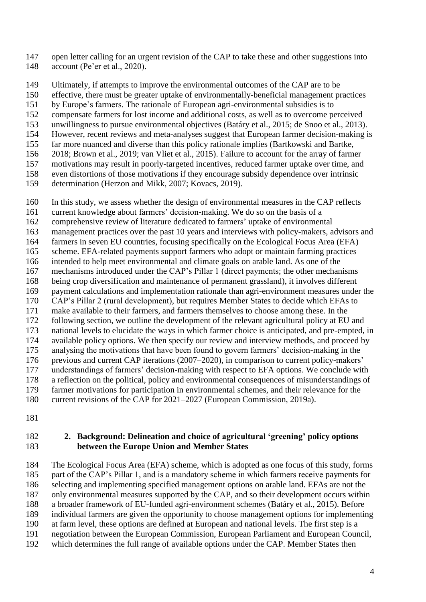- open letter calling for an urgent revision of the CAP to take these and other suggestions into account (Pe'er et al., 2020).
- Ultimately, if attempts to improve the environmental outcomes of the CAP are to be
- effective, there must be greater uptake of environmentally-beneficial management practices
- by Europe's farmers. The rationale of European agri-environmental subsidies is to
- compensate farmers for lost income and additional costs, as well as to overcome perceived
- unwillingness to pursue environmental objectives (Batáry et al., 2015; de Snoo et al., 2013).
- However, recent reviews and meta-analyses suggest that European farmer decision-making is
- far more nuanced and diverse than this policy rationale implies (Bartkowski and Bartke,
- 2018; Brown et al., 2019; van Vliet et al., 2015). Failure to account for the array of farmer
- motivations may result in poorly-targeted incentives, reduced farmer uptake over time, and
- even distortions of those motivations if they encourage subsidy dependence over intrinsic
- determination (Herzon and Mikk, 2007; Kovacs, 2019).
- In this study, we assess whether the design of environmental measures in the CAP reflects
- current knowledge about farmers' decision-making. We do so on the basis of a
- comprehensive review of literature dedicated to farmers' uptake of environmental
- management practices over the past 10 years and interviews with policy-makers, advisors and
- farmers in seven EU countries, focusing specifically on the Ecological Focus Area (EFA)
- scheme. EFA-related payments support farmers who adopt or maintain farming practices
- intended to help meet environmental and climate goals on arable land. As one of the
- mechanisms introduced under the CAP's Pillar 1 (direct payments; the other mechanisms
- being crop diversification and maintenance of permanent grassland), it involves different payment calculations and implementation rationale than agri-environment measures under the
- CAP's Pillar 2 (rural development), but requires Member States to decide which EFAs to
- make available to their farmers, and farmers themselves to choose among these. In the
- following section, we outline the development of the relevant agricultural policy at EU and
- national levels to elucidate the ways in which farmer choice is anticipated, and pre-empted, in
- available policy options. We then specify our review and interview methods, and proceed by
- analysing the motivations that have been found to govern farmers' decision-making in the
- previous and current CAP iterations (2007–2020), in comparison to current policy-makers'
- understandings of farmers' decision-making with respect to EFA options. We conclude with
- a reflection on the political, policy and environmental consequences of misunderstandings of
- farmer motivations for participation in environmental schemes, and their relevance for the
- current revisions of the CAP for 2021–2027 (European Commission, 2019a).
- 

### **2. Background: Delineation and choice of agricultural 'greening' policy options between the Europe Union and Member States**

 The Ecological Focus Area (EFA) scheme, which is adopted as one focus of this study, forms part of the CAP's Pillar 1, and is a mandatory scheme in which farmers receive payments for selecting and implementing specified management options on arable land. EFAs are not the only environmental measures supported by the CAP, and so their development occurs within a broader framework of EU-funded agri-environment schemes (Batáry et al., 2015). Before individual farmers are given the opportunity to choose management options for implementing at farm level, these options are defined at European and national levels. The first step is a negotiation between the European Commission, European Parliament and European Council, which determines the full range of available options under the CAP. Member States then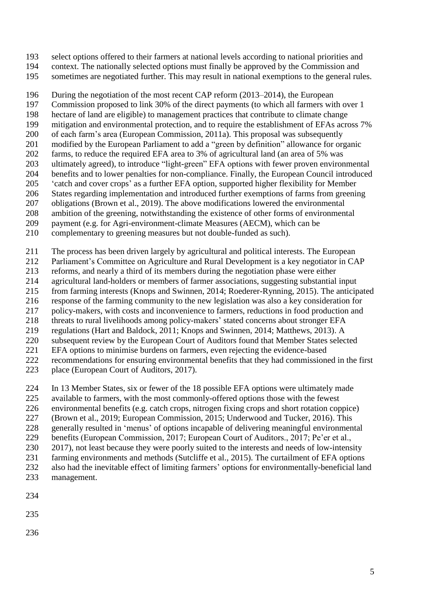select options offered to their farmers at national levels according to national priorities and

- context. The nationally selected options must finally be approved by the Commission and
- sometimes are negotiated further. This may result in national exemptions to the general rules.

 During the negotiation of the most recent CAP reform (2013–2014), the European Commission proposed to link 30% of the direct payments (to which all farmers with over 1 198 hectare of land are eligible) to management practices that contribute to climate change<br>199 mitigation and environmental protection, and to require the establishment of EFAs acro mitigation and environmental protection, and to require the establishment of EFAs across 7% of each farm's area (European Commission, 2011a). This proposal was subsequently modified by the European Parliament to add a "green by definition" allowance for organic 202 farms, to reduce the required EFA area to 3% of agricultural land (an area of 5% was ultimately agreed), to introduce "light-green" EFA options with fewer proven environmental benefits and to lower penalties for non-compliance. Finally, the European Council introduced 'catch and cover crops' as a further EFA option, supported higher flexibility for Member States regarding implementation and introduced further exemptions of farms from greening obligations (Brown et al., 2019). The above modifications lowered the environmental ambition of the greening, notwithstanding the existence of other forms of environmental

- payment (e.g. for Agri-environment-climate Measures (AECM), which can be
- complementary to greening measures but not double-funded as such).
- The process has been driven largely by agricultural and political interests. The European
- Parliament's Committee on Agriculture and Rural Development is a key negotiator in CAP
- reforms, and nearly a third of its members during the negotiation phase were either
- agricultural land-holders or members of farmer associations, suggesting substantial input
- from farming interests (Knops and Swinnen, 2014; Roederer-Rynning, 2015). The anticipated
- response of the farming community to the new legislation was also a key consideration for
- policy-makers, with costs and inconvenience to farmers, reductions in food production and
- threats to rural livelihoods among policy-makers' stated concerns about stronger EFA
- regulations (Hart and Baldock, 2011; Knops and Swinnen, 2014; Matthews, 2013). A
- subsequent review by the European Court of Auditors found that Member States selected EFA options to minimise burdens on farmers, even rejecting the evidence-based
- recommendations for ensuring environmental benefits that they had commissioned in the first
- place (European Court of Auditors, 2017).
- In 13 Member States, six or fewer of the 18 possible EFA options were ultimately made
- available to farmers, with the most commonly-offered options those with the fewest
- environmental benefits (e.g. catch crops, nitrogen fixing crops and short rotation coppice)
- (Brown et al., 2019; European Commission, 2015; Underwood and Tucker, 2016). This
- generally resulted in 'menus' of options incapable of delivering meaningful environmental
- benefits (European Commission, 2017; European Court of Auditors., 2017; Pe'er et al.,
- 2017), not least because they were poorly suited to the interests and needs of low-intensity
- farming environments and methods (Sutcliffe et al., 2015). The curtailment of EFA options also had the inevitable effect of limiting farmers' options for environmentally-beneficial land
- management.
- 
- 
-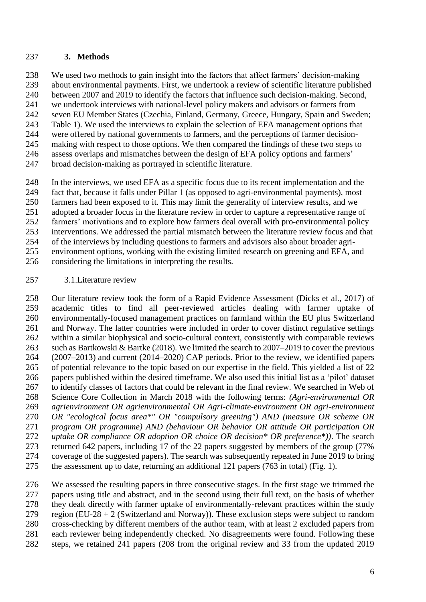#### **3. Methods**

 We used two methods to gain insight into the factors that affect farmers' decision-making about environmental payments. First, we undertook a review of scientific literature published between 2007 and 2019 to identify the factors that influence such decision-making. Second, we undertook interviews with national-level policy makers and advisors or farmers from seven EU Member States (Czechia, Finland, Germany, Greece, Hungary, Spain and Sweden; Table 1). We used the interviews to explain the selection of EFA management options that were offered by national governments to farmers, and the perceptions of farmer decision- making with respect to those options. We then compared the findings of these two steps to assess overlaps and mismatches between the design of EFA policy options and farmers' broad decision-making as portrayed in scientific literature.

 In the interviews, we used EFA as a specific focus due to its recent implementation and the fact that, because it falls under Pillar 1 (as opposed to agri-environmental payments), most farmers had been exposed to it. This may limit the generality of interview results, and we adopted a broader focus in the literature review in order to capture a representative range of farmers' motivations and to explore how farmers deal overall with pro-environmental policy interventions. We addressed the partial mismatch between the literature review focus and that of the interviews by including questions to farmers and advisors also about broader agri-

 environment options, working with the existing limited research on greening and EFA, and considering the limitations in interpreting the results.

#### 3.1.Literature review

 Our literature review took the form of a Rapid Evidence Assessment (Dicks et al., 2017) of academic titles to find all peer-reviewed articles dealing with farmer uptake of environmentally-focused management practices on farmland within the EU plus Switzerland and Norway. The latter countries were included in order to cover distinct regulative settings within a similar biophysical and socio-cultural context, consistently with comparable reviews such as Bartkowski & Bartke (2018). We limited the search to 2007–2019 to cover the previous (2007–2013) and current (2014–2020) CAP periods. Prior to the review, we identified papers of potential relevance to the topic based on our expertise in the field. This yielded a list of 22 papers published within the desired timeframe. We also used this initial list as a 'pilot' dataset to identify classes of factors that could be relevant in the final review. We searched in Web of Science Core Collection in March 2018 with the following terms: *(Agri-environmental OR agrienvironment OR agrienvironmental OR Agri-climate-environment OR agri-environment OR "ecological focus area\*" OR "compulsory greening") AND (measure OR scheme OR program OR programme) AND (behaviour OR behavior OR attitude OR participation OR uptake OR compliance OR adoption OR choice OR decision\* OR preference\*))*. The search returned 642 papers, including 17 of the 22 papers suggested by members of the group (77% coverage of the suggested papers). The search was subsequently repeated in June 2019 to bring the assessment up to date, returning an additional 121 papers (763 in total) (Fig. 1).

 We assessed the resulting papers in three consecutive stages. In the first stage we trimmed the papers using title and abstract, and in the second using their full text, on the basis of whether they dealt directly with farmer uptake of environmentally-relevant practices within the study 279 region (EU-28 + 2 (Switzerland and Norway)). These exclusion steps were subject to random cross-checking by different members of the author team, with at least 2 excluded papers from each reviewer being independently checked. No disagreements were found. Following these steps, we retained 241 papers (208 from the original review and 33 from the updated 2019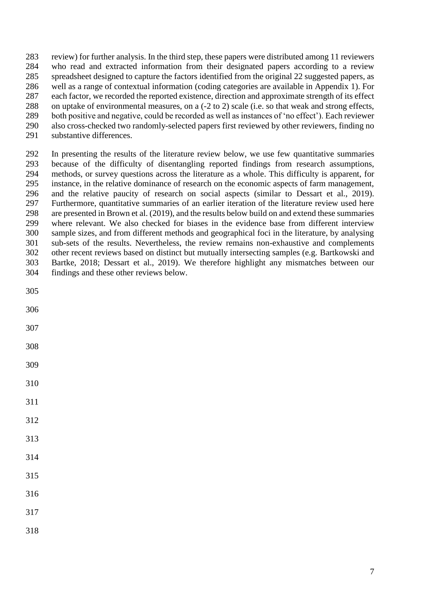review) for further analysis. In the third step, these papers were distributed among 11 reviewers who read and extracted information from their designated papers according to a review spreadsheet designed to capture the factors identified from the original 22 suggested papers, as well as a range of contextual information (coding categories are available in Appendix 1). For each factor, we recorded the reported existence, direction and approximate strength of its effect on uptake of environmental measures, on a (-2 to 2) scale (i.e. so that weak and strong effects, both positive and negative, could be recorded as well as instances of 'no effect'). Each reviewer also cross-checked two randomly-selected papers first reviewed by other reviewers, finding no substantive differences.

 In presenting the results of the literature review below, we use few quantitative summaries because of the difficulty of disentangling reported findings from research assumptions, methods, or survey questions across the literature as a whole. This difficulty is apparent, for instance, in the relative dominance of research on the economic aspects of farm management, and the relative paucity of research on social aspects (similar to Dessart et al., 2019). Furthermore, quantitative summaries of an earlier iteration of the literature review used here are presented in Brown et al. (2019), and the results below build on and extend these summaries where relevant. We also checked for biases in the evidence base from different interview sample sizes, and from different methods and geographical foci in the literature, by analysing sub-sets of the results. Nevertheless, the review remains non-exhaustive and complements other recent reviews based on distinct but mutually intersecting samples (e.g. Bartkowski and Bartke, 2018; Dessart et al., 2019). We therefore highlight any mismatches between our findings and these other reviews below.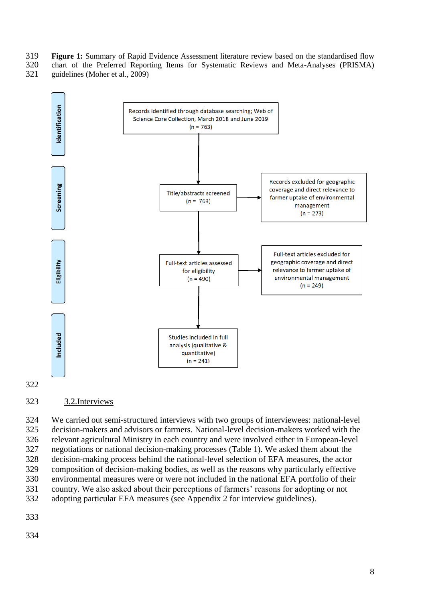- **Figure 1:** Summary of Rapid Evidence Assessment literature review based on the standardised flow chart of the Preferred Reporting Items for Systematic Reviews and Meta-Analyses (PRISMA)
- guidelines (Moher et al., 2009)



3.2.Interviews

 We carried out semi-structured interviews with two groups of interviewees: national-level decision-makers and advisors or farmers. National-level decision-makers worked with the relevant agricultural Ministry in each country and were involved either in European-level negotiations or national decision-making processes (Table 1). We asked them about the decision-making process behind the national-level selection of EFA measures, the actor composition of decision-making bodies, as well as the reasons why particularly effective environmental measures were or were not included in the national EFA portfolio of their country. We also asked about their perceptions of farmers' reasons for adopting or not adopting particular EFA measures (see Appendix 2 for interview guidelines).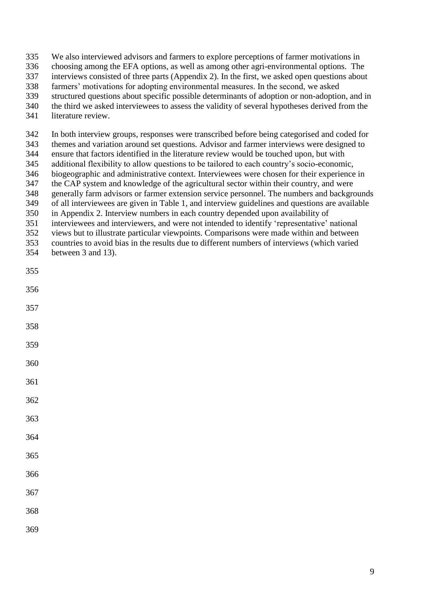- We also interviewed advisors and farmers to explore perceptions of farmer motivations in
- choosing among the EFA options, as well as among other agri-environmental options. The
- interviews consisted of three parts (Appendix 2). In the first, we asked open questions about
- farmers' motivations for adopting environmental measures. In the second, we asked
- structured questions about specific possible determinants of adoption or non-adoption, and in
- the third we asked interviewees to assess the validity of several hypotheses derived from the
- literature review.

In both interview groups, responses were transcribed before being categorised and coded for

- themes and variation around set questions. Advisor and farmer interviews were designed to
- ensure that factors identified in the literature review would be touched upon, but with additional flexibility to allow questions to be tailored to each country's socio-economic,
- biogeographic and administrative context. Interviewees were chosen for their experience in
- the CAP system and knowledge of the agricultural sector within their country, and were
- generally farm advisors or farmer extension service personnel. The numbers and backgrounds
- of all interviewees are given in Table 1, and interview guidelines and questions are available
- in Appendix 2. Interview numbers in each country depended upon availability of
- interviewees and interviewers, and were not intended to identify 'representative' national
- views but to illustrate particular viewpoints. Comparisons were made within and between
- countries to avoid bias in the results due to different numbers of interviews (which varied
- between 3 and 13).
- 
- 
- 
- 
- 
- 
- 
- 
- 
- 
- 
- 
- 
- 
- 
-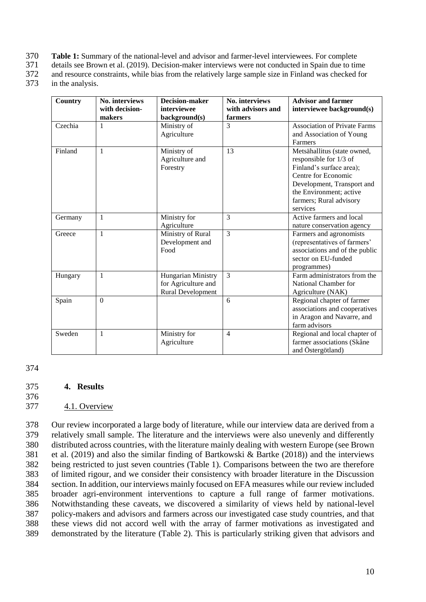- 370 **Table 1:** Summary of the national-level and advisor and farmer-level interviewees. For complete
- 371 details see Brown et al. (2019). Decision-maker interviews were not conducted in Spain due to time<br>372 and resource constraints, while bias from the relatively large sample size in Finland was checked for
- and resource constraints, while bias from the relatively large sample size in Finland was checked for
- 373 in the analysis.

| Country | No. interviews<br>with decision-<br>makers | <b>Decision-maker</b><br>interviewee<br>background(s)                 | No. interviews<br>with advisors and<br>farmers | <b>Advisor and farmer</b><br>interviewee background(s)                                                                                                                                                   |
|---------|--------------------------------------------|-----------------------------------------------------------------------|------------------------------------------------|----------------------------------------------------------------------------------------------------------------------------------------------------------------------------------------------------------|
| Czechia | 1                                          | Ministry of<br>Agriculture                                            | 3                                              | <b>Association of Private Farms</b><br>and Association of Young<br>Farmers                                                                                                                               |
| Finland | 1                                          | Ministry of<br>Agriculture and<br>Forestry                            | 13                                             | Metsähallitus (state owned,<br>responsible for 1/3 of<br>Finland's surface area);<br>Centre for Economic<br>Development, Transport and<br>the Environment; active<br>farmers; Rural advisory<br>services |
| Germany | 1                                          | Ministry for<br>Agriculture                                           | 3                                              | Active farmers and local<br>nature conservation agency                                                                                                                                                   |
| Greece  | $\mathbf{1}$                               | Ministry of Rural<br>Development and<br>Food                          | $\overline{3}$                                 | Farmers and agronomists<br>(representatives of farmers'<br>associations and of the public<br>sector on EU-funded<br>programmes)                                                                          |
| Hungary | $\mathbf{1}$                               | Hungarian Ministry<br>for Agriculture and<br><b>Rural Development</b> | $\overline{3}$                                 | Farm administrators from the<br>National Chamber for<br>Agriculture (NAK)                                                                                                                                |
| Spain   | $\overline{0}$                             |                                                                       | 6                                              | Regional chapter of farmer<br>associations and cooperatives<br>in Aragon and Navarre, and<br>farm advisors                                                                                               |
| Sweden  | $\mathbf{1}$                               | Ministry for<br>Agriculture                                           | $\overline{4}$                                 | Regional and local chapter of<br>farmer associations (Skåne<br>and Östergötland)                                                                                                                         |

#### 375 **4. Results**

376

#### 377 4.1. Overview

 Our review incorporated a large body of literature, while our interview data are derived from a relatively small sample. The literature and the interviews were also unevenly and differently distributed across countries, with the literature mainly dealing with western Europe (see Brown et al. (2019) and also the similar finding of Bartkowski & Bartke (2018)) and the interviews being restricted to just seven countries (Table 1). Comparisons between the two are therefore of limited rigour, and we consider their consistency with broader literature in the Discussion section. In addition, our interviews mainly focused on EFA measures while our review included broader agri-environment interventions to capture a full range of farmer motivations. Notwithstanding these caveats, we discovered a similarity of views held by national-level policy-makers and advisors and farmers across our investigated case study countries, and that these views did not accord well with the array of farmer motivations as investigated and demonstrated by the literature (Table 2). This is particularly striking given that advisors and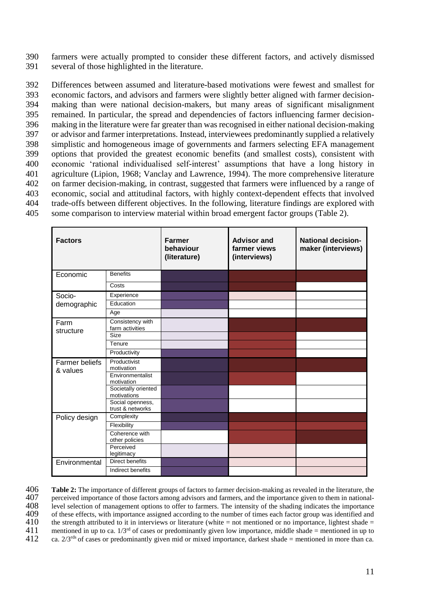390 farmers were actually prompted to consider these different factors, and actively dismissed 391 several of those highlighted in the literature.

 Differences between assumed and literature-based motivations were fewest and smallest for economic factors, and advisors and farmers were slightly better aligned with farmer decision- making than were national decision-makers, but many areas of significant misalignment remained. In particular, the spread and dependencies of factors influencing farmer decision- making in the literature were far greater than was recognised in either national decision-making or advisor and farmer interpretations. Instead, interviewees predominantly supplied a relatively simplistic and homogeneous image of governments and farmers selecting EFA management options that provided the greatest economic benefits (and smallest costs), consistent with economic 'rational individualised self-interest' assumptions that have a long history in agriculture (Lipion, 1968; Vanclay and Lawrence, 1994). The more comprehensive literature on farmer decision-making, in contrast, suggested that farmers were influenced by a range of economic, social and attitudinal factors, with highly context-dependent effects that involved trade-offs between different objectives. In the following, literature findings are explored with some comparison to interview material within broad emergent factor groups (Table 2).

| <b>Factors</b>                    |                                      | <b>Farmer</b><br>behaviour<br>(literature) | <b>Advisor and</b><br>farmer views<br>(interviews) | <b>National decision-</b><br>maker (interviews) |
|-----------------------------------|--------------------------------------|--------------------------------------------|----------------------------------------------------|-------------------------------------------------|
| Economic                          | <b>Benefits</b>                      |                                            |                                                    |                                                 |
|                                   | Costs                                |                                            |                                                    |                                                 |
| Socio-                            | Experience                           |                                            |                                                    |                                                 |
| demographic                       | Education                            |                                            |                                                    |                                                 |
|                                   | Age                                  |                                            |                                                    |                                                 |
| Farm<br>structure                 | Consistency with<br>farm activities  |                                            |                                                    |                                                 |
|                                   | Size                                 |                                            |                                                    |                                                 |
|                                   | Tenure                               |                                            |                                                    |                                                 |
|                                   | Productivity                         |                                            |                                                    |                                                 |
| <b>Farmer beliefs</b><br>& values | Productivist<br>motivation           |                                            |                                                    |                                                 |
|                                   | Environmentalist<br>motivation       |                                            |                                                    |                                                 |
|                                   | Societally oriented<br>motivations   |                                            |                                                    |                                                 |
|                                   | Social openness,<br>trust & networks |                                            |                                                    |                                                 |
| Policy design                     | Complexity                           |                                            |                                                    |                                                 |
|                                   | Flexibility                          |                                            |                                                    |                                                 |
|                                   | Coherence with<br>other policies     |                                            |                                                    |                                                 |
|                                   | Perceived<br>legitimacy              |                                            |                                                    |                                                 |
| Environmental                     | Direct benefits                      |                                            |                                                    |                                                 |
|                                   | Indirect benefits                    |                                            |                                                    |                                                 |

**Table 2:** The importance of different groups of factors to farmer decision-making as revealed in the literature, the  $407$  perceived importance of those factors among advisors and farmers, and the importance given to them 407 perceived importance of those factors among advisors and farmers, and the importance given to them in national-<br>408 evel selection of management options to offer to farmers. The intensity of the shading indicates the i 108 level selection of management options to offer to farmers. The intensity of the shading indicates the importance<br>109 of these effects, with importance assigned according to the number of times each factor group was ide 409 of these effects, with importance assigned according to the number of times each factor group was identified and  $410$  the strength attributed to it in interviews or literature (white = not mentioned or no importance, 410 the strength attributed to it in interviews or literature (white = not mentioned or no importance, lightest shade = mentioned in up to  $411$  energy of cases or predominantly given low importance, middle shade = mentio mentioned in up to ca.  $1/3^{rd}$  of cases or predominantly given low importance, middle shade = mentioned in up to ca.  $2/3^{rd}$  of cases or predominantly given mid or mixed importance, darkest shade = mentioned in more tha ca.  $2/3<sup>rds</sup>$  of cases or predominantly given mid or mixed importance, darkest shade = mentioned in more than ca.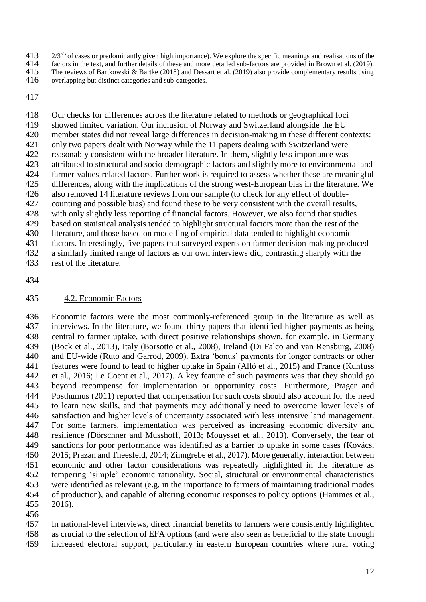$2/3$ <sup>rds</sup> of cases or predominantly given high importance). We explore the specific meanings and realisations of the factors in the text, and further details of these and more detailed sub-factors are provided in Brown e

414 factors in the text, and further details of these and more detailed sub-factors are provided in Brown et al. (2019).<br>415 The reviews of Bartkowski & Bartke (2018) and Dessart et al. (2019) also provide complementary re

 Our checks for differences across the literature related to methods or geographical foci showed limited variation. Our inclusion of Norway and Switzerland alongside the EU member states did not reveal large differences in decision-making in these different contexts: only two papers dealt with Norway while the 11 papers dealing with Switzerland were reasonably consistent with the broader literature. In them, slightly less importance was attributed to structural and socio-demographic factors and slightly more to environmental and farmer-values-related factors. Further work is required to assess whether these are meaningful differences, along with the implications of the strong west-European bias in the literature. We also removed 14 literature reviews from our sample (to check for any effect of double- counting and possible bias) and found these to be very consistent with the overall results, with only slightly less reporting of financial factors. However, we also found that studies based on statistical analysis tended to highlight structural factors more than the rest of the literature, and those based on modelling of empirical data tended to highlight economic factors. Interestingly, five papers that surveyed experts on farmer decision-making produced a similarly limited range of factors as our own interviews did, contrasting sharply with the rest of the literature.

#### 4.2. Economic Factors

 Economic factors were the most commonly-referenced group in the literature as well as interviews. In the literature, we found thirty papers that identified higher payments as being central to farmer uptake, with direct positive relationships shown, for example, in Germany (Bock et al., 2013), Italy (Borsotto et al., 2008), Ireland (Di Falco and van Rensburg, 2008) and EU-wide (Ruto and Garrod, 2009). Extra 'bonus' payments for longer contracts or other features were found to lead to higher uptake in Spain (Alló et al., 2015) and France (Kuhfuss et al., 2016; Le Coent et al., 2017). A key feature of such payments was that they should go beyond recompense for implementation or opportunity costs. Furthermore, Prager and Posthumus (2011) reported that compensation for such costs should also account for the need to learn new skills, and that payments may additionally need to overcome lower levels of satisfaction and higher levels of uncertainty associated with less intensive land management. For some farmers, implementation was perceived as increasing economic diversity and resilience (Dörschner and Musshoff, 2013; Mouysset et al., 2013). Conversely, the fear of sanctions for poor performance was identified as a barrier to uptake in some cases (Kovács, 2015; Prazan and Theesfeld, 2014; Zinngrebe et al., 2017). More generally, interaction between economic and other factor considerations was repeatedly highlighted in the literature as tempering 'simple' economic rationality. Social, structural or environmental characteristics were identified as relevant (e.g. in the importance to farmers of maintaining traditional modes of production), and capable of altering economic responses to policy options (Hammes et al., 2016).

 In national-level interviews, direct financial benefits to farmers were consistently highlighted as crucial to the selection of EFA options (and were also seen as beneficial to the state through increased electoral support, particularly in eastern European countries where rural voting

The reviews of Bartkowski & Bartke (2018) and Dessart et al. (2019) also provide complementary results using

overlapping but distinct categories and sub-categories.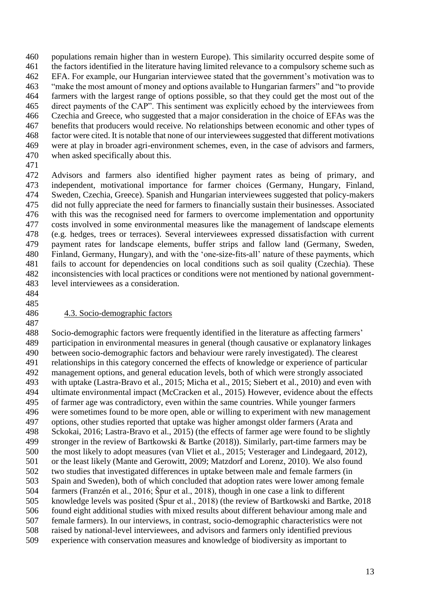populations remain higher than in western Europe). This similarity occurred despite some of the factors identified in the literature having limited relevance to a compulsory scheme such as EFA. For example, our Hungarian interviewee stated that the government's motivation was to "make the most amount of money and options available to Hungarian farmers" and "to provide farmers with the largest range of options possible, so that they could get the most out of the direct payments of the CAP". This sentiment was explicitly echoed by the interviewees from Czechia and Greece, who suggested that a major consideration in the choice of EFAs was the benefits that producers would receive. No relationships between economic and other types of factor were cited. It is notable that none of our interviewees suggested that different motivations were at play in broader agri-environment schemes, even, in the case of advisors and farmers, when asked specifically about this.

 Advisors and farmers also identified higher payment rates as being of primary, and independent, motivational importance for farmer choices (Germany, Hungary, Finland, Sweden, Czechia, Greece). Spanish and Hungarian interviewees suggested that policy-makers did not fully appreciate the need for farmers to financially sustain their businesses. Associated with this was the recognised need for farmers to overcome implementation and opportunity costs involved in some environmental measures like the management of landscape elements (e.g. hedges, trees or terraces). Several interviewees expressed dissatisfaction with current payment rates for landscape elements, buffer strips and fallow land (Germany, Sweden, Finland, Germany, Hungary), and with the 'one-size-fits-all' nature of these payments, which fails to account for dependencies on local conditions such as soil quality (Czechia). These inconsistencies with local practices or conditions were not mentioned by national government-level interviewees as a consideration.

- 
- 

#### 4.3. Socio-demographic factors

 Socio-demographic factors were frequently identified in the literature as affecting farmers' participation in environmental measures in general (though causative or explanatory linkages between socio-demographic factors and behaviour were rarely investigated). The clearest relationships in this category concerned the effects of knowledge or experience of particular management options, and general education levels, both of which were strongly associated with uptake (Lastra-Bravo et al., 2015; Micha et al., 2015; Siebert et al., 2010) and even with ultimate environmental impact (McCracken et al., 2015). However, evidence about the effects of farmer age was contradictory, even within the same countries. While younger farmers were sometimes found to be more open, able or willing to experiment with new management options, other studies reported that uptake was higher amongst older farmers (Arata and Sckokai, 2016; Lastra-Bravo et al., 2015) (the effects of farmer age were found to be slightly stronger in the review of Bartkowski & Bartke (2018)). Similarly, part-time farmers may be the most likely to adopt measures (van Vliet et al., 2015; Vesterager and Lindegaard, 2012), or the least likely (Mante and Gerowitt, 2009; Matzdorf and Lorenz, 2010). We also found two studies that investigated differences in uptake between male and female farmers (in Spain and Sweden), both of which concluded that adoption rates were lower among female farmers (Franzén et al., 2016; Špur et al., 2018), though in one case a link to different knowledge levels was posited (Špur et al., 2018) (the review of Bartkowski and Bartke, 2018 found eight additional studies with mixed results about different behaviour among male and female farmers). In our interviews, in contrast, socio-demographic characteristics were not raised by national-level interviewees, and advisors and farmers only identified previous experience with conservation measures and knowledge of biodiversity as important to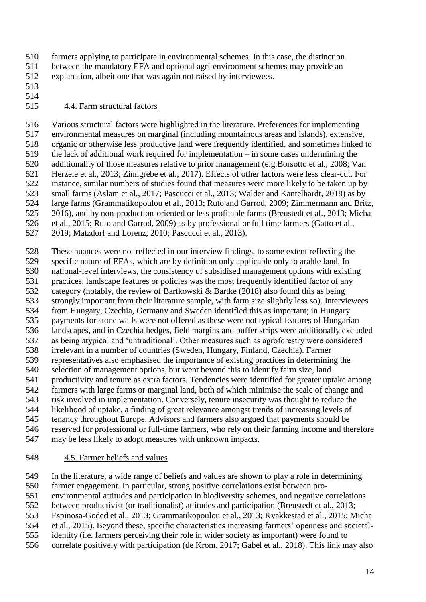farmers applying to participate in environmental schemes. In this case, the distinction between the mandatory EFA and optional agri-environment schemes may provide an

explanation, albeit one that was again not raised by interviewees.

 

### 4.4. Farm structural factors

 Various structural factors were highlighted in the literature. Preferences for implementing environmental measures on marginal (including mountainous areas and islands), extensive, organic or otherwise less productive land were frequently identified, and sometimes linked to the lack of additional work required for implementation – in some cases undermining the additionality of those measures relative to prior management (e.g.Borsotto et al., 2008; Van Herzele et al., 2013; Zinngrebe et al., 2017). Effects of other factors were less clear-cut. For instance, similar numbers of studies found that measures were more likely to be taken up by small farms (Aslam et al., 2017; Pascucci et al., 2013; Walder and Kantelhardt, 2018) as by large farms (Grammatikopoulou et al., 2013; Ruto and Garrod, 2009; Zimmermann and Britz, 2016), and by non-production-oriented or less profitable farms (Breustedt et al., 2013; Micha et al., 2015; Ruto and Garrod, 2009) as by professional or full time farmers (Gatto et al.,

2019; Matzdorf and Lorenz, 2010; Pascucci et al., 2013).

These nuances were not reflected in our interview findings, to some extent reflecting the

specific nature of EFAs, which are by definition only applicable only to arable land. In

 national-level interviews, the consistency of subsidised management options with existing practices, landscape features or policies was the most frequently identified factor of any

- category (notably, the review of Bartkowski & Bartke (2018) also found this as being
- strongly important from their literature sample, with farm size slightly less so). Interviewees
- from Hungary, Czechia, Germany and Sweden identified this as important; in Hungary
- payments for stone walls were not offered as these were not typical features of Hungarian

landscapes, and in Czechia hedges, field margins and buffer strips were additionally excluded

 as being atypical and 'untraditional'. Other measures such as agroforestry were considered irrelevant in a number of countries (Sweden, Hungary, Finland, Czechia). Farmer

representatives also emphasised the importance of existing practices in determining the

- selection of management options, but went beyond this to identify farm size, land
- productivity and tenure as extra factors. Tendencies were identified for greater uptake among

farmers with large farms or marginal land, both of which minimise the scale of change and

 risk involved in implementation. Conversely, tenure insecurity was thought to reduce the likelihood of uptake, a finding of great relevance amongst trends of increasing levels of

tenancy throughout Europe. Advisors and farmers also argued that payments should be

reserved for professional or full-time farmers, who rely on their farming income and therefore

may be less likely to adopt measures with unknown impacts.

## 4.5. Farmer beliefs and values

In the literature, a wide range of beliefs and values are shown to play a role in determining

farmer engagement. In particular, strong positive correlations exist between pro-

environmental attitudes and participation in biodiversity schemes, and negative correlations

between productivist (or traditionalist) attitudes and participation (Breustedt et al., 2013;

Espinosa-Goded et al., 2013; Grammatikopoulou et al., 2013; Kvakkestad et al., 2015; Micha

et al., 2015). Beyond these, specific characteristics increasing farmers' openness and societal-

identity (i.e. farmers perceiving their role in wider society as important) were found to

correlate positively with participation (de Krom, 2017; Gabel et al., 2018). This link may also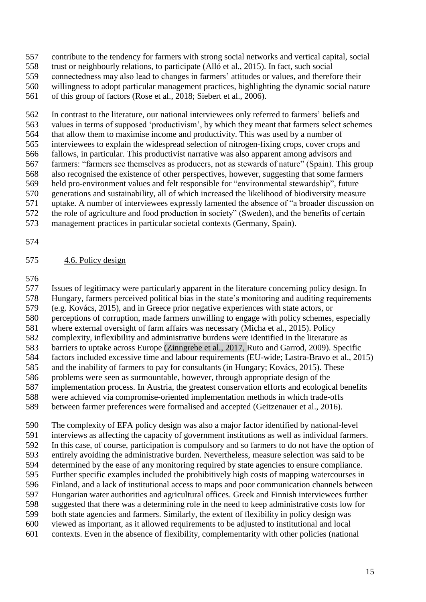- contribute to the tendency for farmers with strong social networks and vertical capital, social
- trust or neighbourly relations, to participate (Alló et al., 2015). In fact, such social
- connectedness may also lead to changes in farmers' attitudes or values, and therefore their
- willingness to adopt particular management practices, highlighting the dynamic social nature of this group of factors (Rose et al., 2018; Siebert et al., 2006).

 In contrast to the literature, our national interviewees only referred to farmers' beliefs and values in terms of supposed 'productivism', by which they meant that farmers select schemes that allow them to maximise income and productivity. This was used by a number of interviewees to explain the widespread selection of nitrogen-fixing crops, cover crops and fallows, in particular. This productivist narrative was also apparent among advisors and farmers: "farmers see themselves as producers, not as stewards of nature" (Spain). This group also recognised the existence of other perspectives, however, suggesting that some farmers held pro-environment values and felt responsible for "environmental stewardship", future generations and sustainability, all of which increased the likelihood of biodiversity measure uptake. A number of interviewees expressly lamented the absence of "a broader discussion on the role of agriculture and food production in society" (Sweden), and the benefits of certain

- management practices in particular societal contexts (Germany, Spain).
- 

### 4.6. Policy design

 Issues of legitimacy were particularly apparent in the literature concerning policy design. In Hungary, farmers perceived political bias in the state's monitoring and auditing requirements (e.g. Kovács, 2015), and in Greece prior negative experiences with state actors, or perceptions of corruption, made farmers unwilling to engage with policy schemes, especially where external oversight of farm affairs was necessary (Micha et al., 2015). Policy complexity, inflexibility and administrative burdens were identified in the literature as barriers to uptake across Europe (Zinngrebe et al., 2017, Ruto and Garrod, 2009). Specific factors included excessive time and labour requirements (EU-wide; Lastra-Bravo et al., 2015) and the inability of farmers to pay for consultants (in Hungary; Kovács, 2015). These problems were seen as surmountable, however, through appropriate design of the implementation process. In Austria, the greatest conservation efforts and ecological benefits were achieved via compromise-oriented implementation methods in which trade-offs

between farmer preferences were formalised and accepted (Geitzenauer et al., 2016).

 The complexity of EFA policy design was also a major factor identified by national-level interviews as affecting the capacity of government institutions as well as individual farmers. In this case, of course, participation is compulsory and so farmers to do not have the option of entirely avoiding the administrative burden. Nevertheless, measure selection was said to be determined by the ease of any monitoring required by state agencies to ensure compliance. Further specific examples included the prohibitively high costs of mapping watercourses in Finland, and a lack of institutional access to maps and poor communication channels between Hungarian water authorities and agricultural offices. Greek and Finnish interviewees further suggested that there was a determining role in the need to keep administrative costs low for both state agencies and farmers. Similarly, the extent of flexibility in policy design was viewed as important, as it allowed requirements to be adjusted to institutional and local contexts. Even in the absence of flexibility, complementarity with other policies (national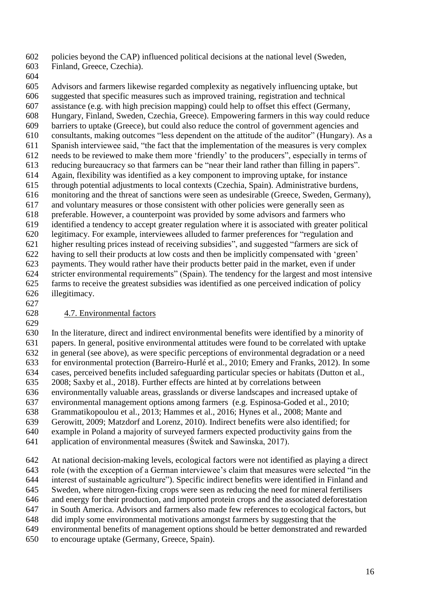policies beyond the CAP) influenced political decisions at the national level (Sweden,

- Finland, Greece, Czechia).
- 

 Advisors and farmers likewise regarded complexity as negatively influencing uptake, but suggested that specific measures such as improved training, registration and technical assistance (e.g. with high precision mapping) could help to offset this effect (Germany, Hungary, Finland, Sweden, Czechia, Greece). Empowering farmers in this way could reduce barriers to uptake (Greece), but could also reduce the control of government agencies and consultants, making outcomes "less dependent on the attitude of the auditor" (Hungary). As a Spanish interviewee said, "the fact that the implementation of the measures is very complex needs to be reviewed to make them more 'friendly' to the producers", especially in terms of reducing bureaucracy so that farmers can be "near their land rather than filling in papers". Again, flexibility was identified as a key component to improving uptake, for instance through potential adjustments to local contexts (Czechia, Spain). Administrative burdens, monitoring and the threat of sanctions were seen as undesirable (Greece, Sweden, Germany), and voluntary measures or those consistent with other policies were generally seen as preferable. However, a counterpoint was provided by some advisors and farmers who identified a tendency to accept greater regulation where it is associated with greater political legitimacy. For example, interviewees alluded to farmer preferences for "regulation and higher resulting prices instead of receiving subsidies", and suggested "farmers are sick of having to sell their products at low costs and then be implicitly compensated with 'green' payments. They would rather have their products better paid in the market, even if under stricter environmental requirements" (Spain). The tendency for the largest and most intensive farms to receive the greatest subsidies was identified as one perceived indication of policy illegitimacy.

### 4.7. Environmental factors

 In the literature, direct and indirect environmental benefits were identified by a minority of papers. In general, positive environmental attitudes were found to be correlated with uptake in general (see above), as were specific perceptions of environmental degradation or a need for environmental protection (Barreiro-Hurlé et al., 2010; Emery and Franks, 2012). In some cases, perceived benefits included safeguarding particular species or habitats (Dutton et al., 2008; Saxby et al., 2018). Further effects are hinted at by correlations between environmentally valuable areas, grasslands or diverse landscapes and increased uptake of environmental management options among farmers (e.g. Espinosa-Goded et al., 2010; Grammatikopoulou et al., 2013; Hammes et al., 2016; Hynes et al., 2008; Mante and Gerowitt, 2009; Matzdorf and Lorenz, 2010). Indirect benefits were also identified; for example in Poland a majority of surveyed farmers expected productivity gains from the application of environmental measures (Świtek and Sawinska, 2017).

 At national decision-making levels, ecological factors were not identified as playing a direct role (with the exception of a German interviewee's claim that measures were selected "in the interest of sustainable agriculture"). Specific indirect benefits were identified in Finland and Sweden, where nitrogen-fixing crops were seen as reducing the need for mineral fertilisers and energy for their production, and imported protein crops and the associated deforestation in South America. Advisors and farmers also made few references to ecological factors, but did imply some environmental motivations amongst farmers by suggesting that the environmental benefits of management options should be better demonstrated and rewarded to encourage uptake (Germany, Greece, Spain).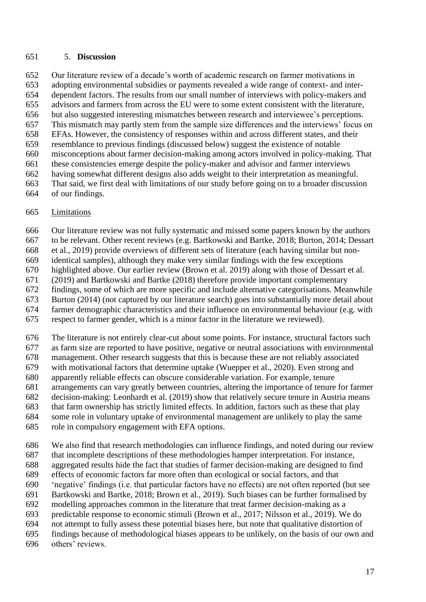#### 5. **Discussion**

 Our literature review of a decade's worth of academic research on farmer motivations in adopting environmental subsidies or payments revealed a wide range of context- and inter- dependent factors. The results from our small number of interviews with policy-makers and advisors and farmers from across the EU were to some extent consistent with the literature, but also suggested interesting mismatches between research and interviewee's perceptions. This mismatch may partly stem from the sample size differences and the interviews' focus on EFAs. However, the consistency of responses within and across different states, and their resemblance to previous findings (discussed below) suggest the existence of notable misconceptions about farmer decision-making among actors involved in policy-making. That these consistencies emerge despite the policy-maker and advisor and farmer interviews having somewhat different designs also adds weight to their interpretation as meaningful. That said, we first deal with limitations of our study before going on to a broader discussion of our findings.

#### Limitations

Our literature review was not fully systematic and missed some papers known by the authors

to be relevant. Other recent reviews (e.g. Bartkowski and Bartke, 2018; Burton, 2014; Dessart

 et al., 2019) provide overviews of different sets of literature (each having similar but non-identical samples), although they make very similar findings with the few exceptions

highlighted above. Our earlier review (Brown et al. 2019) along with those of Dessart et al.

(2019) and Bartkowski and Bartke (2018) therefore provide important complementary

findings, some of which are more specific and include alternative categorisations. Meanwhile

Burton (2014) (not captured by our literature search) goes into substantially more detail about

farmer demographic characteristics and their influence on environmental behaviour (e.g. with

respect to farmer gender, which is a minor factor in the literature we reviewed).

The literature is not entirely clear-cut about some points. For instance, structural factors such

as farm size are reported to have positive, negative or neutral associations with environmental

management. Other research suggests that this is because these are not reliably associated

with motivational factors that determine uptake (Wuepper et al., 2020). Even strong and

apparently reliable effects can obscure considerable variation. For example, tenure

 arrangements can vary greatly between countries, altering the importance of tenure for farmer decision-making: Leonhardt et al. (2019) show that relatively secure tenure in Austria means

that farm ownership has strictly limited effects. In addition, factors such as these that play

some role in voluntary uptake of environmental management are unlikely to play the same

role in compulsory engagement with EFA options.

 We also find that research methodologies can influence findings, and noted during our review that incomplete descriptions of these methodologies hamper interpretation. For instance, aggregated results hide the fact that studies of farmer decision-making are designed to find effects of economic factors far more often than ecological or social factors, and that 'negative' findings (i.e. that particular factors have no effects) are not often reported (but see Bartkowski and Bartke, 2018; Brown et al., 2019). Such biases can be further formalised by modelling approaches common in the literature that treat farmer decision-making as a predictable response to economic stimuli (Brown et al., 2017; Nilsson et al., 2019). We do not attempt to fully assess these potential biases here, but note that qualitative distortion of findings because of methodological biases appears to be unlikely, on the basis of our own and others' reviews.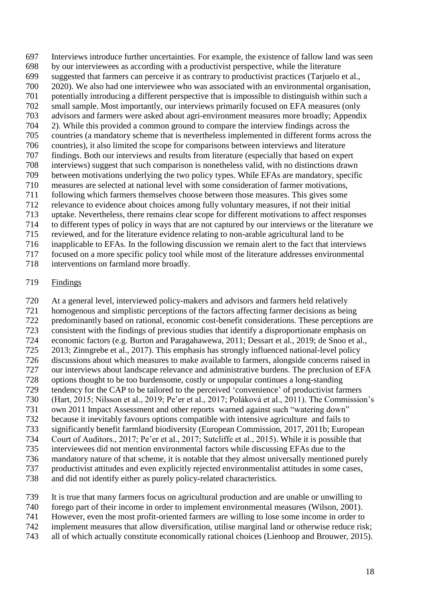Interviews introduce further uncertainties. For example, the existence of fallow land was seen by our interviewees as according with a productivist perspective, while the literature suggested that farmers can perceive it as contrary to productivist practices (Tarjuelo et al., 2020). We also had one interviewee who was associated with an environmental organisation, potentially introducing a different perspective that is impossible to distinguish within such a small sample. Most importantly, our interviews primarily focused on EFA measures (only advisors and farmers were asked about agri-environment measures more broadly; Appendix 2). While this provided a common ground to compare the interview findings across the countries (a mandatory scheme that is nevertheless implemented in different forms across the countries), it also limited the scope for comparisons between interviews and literature findings. Both our interviews and results from literature (especially that based on expert interviews) suggest that such comparison is nonetheless valid, with no distinctions drawn between motivations underlying the two policy types. While EFAs are mandatory, specific measures are selected at national level with some consideration of farmer motivations, following which farmers themselves choose between those measures. This gives some relevance to evidence about choices among fully voluntary measures, if not their initial uptake. Nevertheless, there remains clear scope for different motivations to affect responses to different types of policy in ways that are not captured by our interviews or the literature we reviewed, and for the literature evidence relating to non-arable agricultural land to be inapplicable to EFAs. In the following discussion we remain alert to the fact that interviews focused on a more specific policy tool while most of the literature addresses environmental

interventions on farmland more broadly.

#### Findings

 At a general level, interviewed policy-makers and advisors and farmers held relatively homogenous and simplistic perceptions of the factors affecting farmer decisions as being predominantly based on rational, economic cost-benefit considerations. These perceptions are consistent with the findings of previous studies that identify a disproportionate emphasis on economic factors (e.g. Burton and Paragahawewa, 2011; Dessart et al., 2019; de Snoo et al., 2013; Zinngrebe et al., 2017). This emphasis has strongly influenced national-level policy discussions about which measures to make available to farmers, alongside concerns raised in our interviews about landscape relevance and administrative burdens. The preclusion of EFA options thought to be too burdensome, costly or unpopular continues a long-standing tendency for the CAP to be tailored to the perceived 'convenience' of productivist farmers (Hart, 2015; Nilsson et al., 2019; Pe'er et al., 2017; Poláková et al., 2011). The Commission's own 2011 Impact Assessment and other reports warned against such "watering down" because it inevitably favours options compatible with intensive agriculture and fails to significantly benefit farmland biodiversity (European Commission, 2017, 2011b; European Court of Auditors., 2017; Pe'er et al., 2017; Sutcliffe et al., 2015). While it is possible that interviewees did not mention environmental factors while discussing EFAs due to the mandatory nature of that scheme, it is notable that they almost universally mentioned purely productivist attitudes and even explicitly rejected environmentalist attitudes in some cases, and did not identify either as purely policy-related characteristics.

It is true that many farmers focus on agricultural production and are unable or unwilling to

- forego part of their income in order to implement environmental measures (Wilson, 2001).
- However, even the most profit-oriented farmers are willing to lose some income in order to
- implement measures that allow diversification, utilise marginal land or otherwise reduce risk;
- all of which actually constitute economically rational choices (Lienhoop and Brouwer, 2015).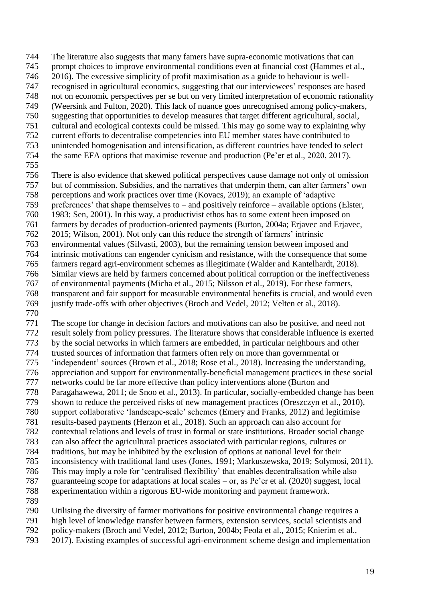The literature also suggests that many famers have supra-economic motivations that can prompt choices to improve environmental conditions even at financial cost (Hammes et al., 2016). The excessive simplicity of profit maximisation as a guide to behaviour is well- recognised in agricultural economics, suggesting that our interviewees' responses are based not on economic perspectives per se but on very limited interpretation of economic rationality (Weersink and Fulton, 2020). This lack of nuance goes unrecognised among policy-makers, suggesting that opportunities to develop measures that target different agricultural, social,

- cultural and ecological contexts could be missed. This may go some way to explaining why
- current efforts to decentralise competencies into EU member states have contributed to
- unintended homogenisation and intensification, as different countries have tended to select
- the same EFA options that maximise revenue and production (Pe'er et al., 2020, 2017).
- 
- There is also evidence that skewed political perspectives cause damage not only of omission
- but of commission. Subsidies, and the narratives that underpin them, can alter farmers' own perceptions and work practices over time (Kovacs, 2019); an example of 'adaptive
- preferences' that shape themselves to and positively reinforce available options (Elster,
- 1983; Sen, 2001). In this way, a productivist ethos has to some extent been imposed on
- farmers by decades of production-oriented payments (Burton, 2004a; Erjavec and Erjavec,
- 2015; Wilson, 2001). Not only can this reduce the strength of farmers' intrinsic
- environmental values (Silvasti, 2003), but the remaining tension between imposed and
- intrinsic motivations can engender cynicism and resistance, with the consequence that some
- farmers regard agri-environment schemes as illegitimate (Walder and Kantelhardt, 2018). Similar views are held by farmers concerned about political corruption or the ineffectiveness
- of environmental payments (Micha et al., 2015; Nilsson et al., 2019). For these farmers,
- transparent and fair support for measurable environmental benefits is crucial, and would even
- justify trade-offs with other objectives (Broch and Vedel, 2012; Velten et al., 2018).
- 

 The scope for change in decision factors and motivations can also be positive, and need not result solely from policy pressures. The literature shows that considerable influence is exerted by the social networks in which farmers are embedded, in particular neighbours and other trusted sources of information that farmers often rely on more than governmental or 'independent' sources (Brown et al., 2018; Rose et al., 2018). Increasing the understanding, appreciation and support for environmentally-beneficial management practices in these social networks could be far more effective than policy interventions alone (Burton and Paragahawewa, 2011; de Snoo et al., 2013). In particular, socially-embedded change has been shown to reduce the perceived risks of new management practices (Oreszczyn et al., 2010), support collaborative 'landscape-scale' schemes (Emery and Franks, 2012) and legitimise results-based payments (Herzon et al., 2018). Such an approach can also account for contextual relations and levels of trust in formal or state institutions. Broader social change can also affect the agricultural practices associated with particular regions, cultures or traditions, but may be inhibited by the exclusion of options at national level for their inconsistency with traditional land uses (Jones, 1991; Markuszewska, 2019; Solymosi, 2011). This may imply a role for 'centralised flexibility' that enables decentralisation while also guaranteeing scope for adaptations at local scales – or, as Pe'er et al. (2020) suggest, local

- experimentation within a rigorous EU-wide monitoring and payment framework.
- 

Utilising the diversity of farmer motivations for positive environmental change requires a

- high level of knowledge transfer between farmers, extension services, social scientists and
- policy-makers (Broch and Vedel, 2012; Burton, 2004b; Feola et al., 2015; Knierim et al.,
- 2017). Existing examples of successful agri-environment scheme design and implementation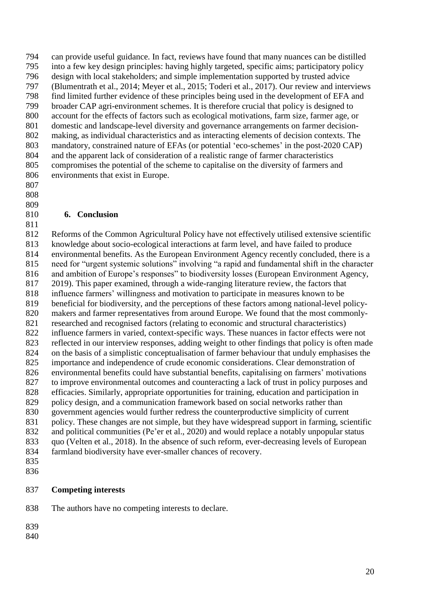can provide useful guidance. In fact, reviews have found that many nuances can be distilled into a few key design principles: having highly targeted, specific aims; participatory policy design with local stakeholders; and simple implementation supported by trusted advice (Blumentrath et al., 2014; Meyer et al., 2015; Toderi et al., 2017). Our review and interviews 798 find limited further evidence of these principles being used in the development of EFA and<br>799 broader CAP agri-environment schemes. It is therefore crucial that policy is designed to broader CAP agri-environment schemes. It is therefore crucial that policy is designed to account for the effects of factors such as ecological motivations, farm size, farmer age, or domestic and landscape-level diversity and governance arrangements on farmer decision- making, as individual characteristics and as interacting elements of decision contexts. The mandatory, constrained nature of EFAs (or potential 'eco-schemes' in the post-2020 CAP) and the apparent lack of consideration of a realistic range of farmer characteristics compromises the potential of the scheme to capitalise on the diversity of farmers and environments that exist in Europe.

 

### **6. Conclusion**

 Reforms of the Common Agricultural Policy have not effectively utilised extensive scientific knowledge about socio-ecological interactions at farm level, and have failed to produce environmental benefits. As the European Environment Agency recently concluded, there is a need for "urgent systemic solutions" involving "a rapid and fundamental shift in the character and ambition of Europe's responses" to biodiversity losses (European Environment Agency, 2019). This paper examined, through a wide-ranging literature review, the factors that influence farmers' willingness and motivation to participate in measures known to be beneficial for biodiversity, and the perceptions of these factors among national-level policy- makers and farmer representatives from around Europe. We found that the most commonly- researched and recognised factors (relating to economic and structural characteristics) influence farmers in varied, context-specific ways. These nuances in factor effects were not reflected in our interview responses, adding weight to other findings that policy is often made on the basis of a simplistic conceptualisation of farmer behaviour that unduly emphasises the importance and independence of crude economic considerations. Clear demonstration of environmental benefits could have substantial benefits, capitalising on farmers' motivations to improve environmental outcomes and counteracting a lack of trust in policy purposes and efficacies. Similarly, appropriate opportunities for training, education and participation in policy design, and a communication framework based on social networks rather than government agencies would further redress the counterproductive simplicity of current policy. These changes are not simple, but they have widespread support in farming, scientific and political communities (Pe'er et al., 2020) and would replace a notably unpopular status quo (Velten et al., 2018). In the absence of such reform, ever-decreasing levels of European farmland biodiversity have ever-smaller chances of recovery. 

### **Competing interests**

The authors have no competing interests to declare.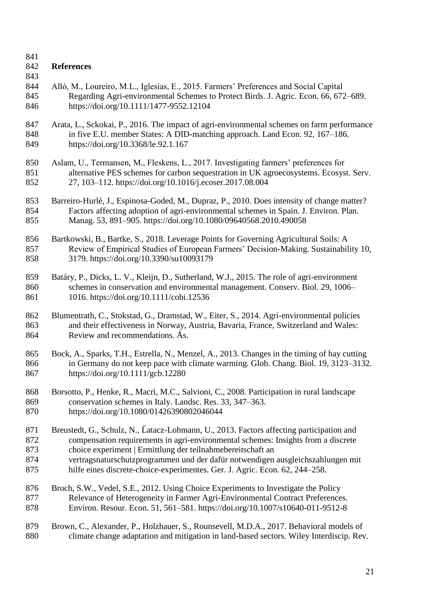### **References**

- 
- Alló, M., Loureiro, M.L., Iglesias, E., 2015. Farmers' Preferences and Social Capital Regarding Agri-environmental Schemes to Protect Birds. J. Agric. Econ. 66, 672–689. https://doi.org/10.1111/1477-9552.12104
- Arata, L., Sckokai, P., 2016. The impact of agri-environmental schemes on farm performance in five E.U. member States: A DID-matching approach. Land Econ. 92, 167–186. https://doi.org/10.3368/le.92.1.167
- Aslam, U., Termansen, M., Fleskens, L., 2017. Investigating farmers' preferences for alternative PES schemes for carbon sequestration in UK agroecosystems. Ecosyst. Serv. 27, 103–112. https://doi.org/10.1016/j.ecoser.2017.08.004
- Barreiro-Hurlé, J., Espinosa-Goded, M., Dupraz, P., 2010. Does intensity of change matter? Factors affecting adoption of agri-environmental schemes in Spain. J. Environ. Plan. Manag. 53, 891–905. https://doi.org/10.1080/09640568.2010.490058
- Bartkowski, B., Bartke, S., 2018. Leverage Points for Governing Agricultural Soils: A Review of Empirical Studies of European Farmers' Decision-Making. Sustainability 10, 3179. https://doi.org/10.3390/su10093179
- Batáry, P., Dicks, L. V., Kleijn, D., Sutherland, W.J., 2015. The role of agri-environment schemes in conservation and environmental management. Conserv. Biol. 29, 1006– 1016. https://doi.org/10.1111/cobi.12536
- Blumentrath, C., Stokstad, G., Dramstad, W., Eiter, S., 2014. Agri-environmental policies and their effectiveness in Norway, Austria, Bavaria, France, Switzerland and Wales: Review and recommendations. Ås.
- Bock, A., Sparks, T.H., Estrella, N., Menzel, A., 2013. Changes in the timing of hay cutting in Germany do not keep pace with climate warming. Glob. Chang. Biol. 19, 3123–3132. https://doi.org/10.1111/gcb.12280
- Borsotto, P., Henke, R., Macrì, M.C., Salvioni, C., 2008. Participation in rural landscape conservation schemes in Italy. Landsc. Res. 33, 347–363. https://doi.org/10.1080/01426390802046044
- Breustedt, G., Schulz, N., L̈atacz-Lohmann, U., 2013. Factors affecting participation and compensation requirements in agri-environmental schemes: Insights from a discrete choice experiment | Ermittlung der teilnahmebereitschaft an
- vertragsnaturschutzprogrammen und der dafür notwendigen ausgleichszahlungen mit hilfe eines discrete-choice-experimentes. Ger. J. Agric. Econ. 62, 244–258.
- Broch, S.W., Vedel, S.E., 2012. Using Choice Experiments to Investigate the Policy Relevance of Heterogeneity in Farmer Agri-Environmental Contract Preferences. Environ. Resour. Econ. 51, 561–581. https://doi.org/10.1007/s10640-011-9512-8
- Brown, C., Alexander, P., Holzhauer, S., Rounsevell, M.D.A., 2017. Behavioral models of climate change adaptation and mitigation in land-based sectors. Wiley Interdiscip. Rev.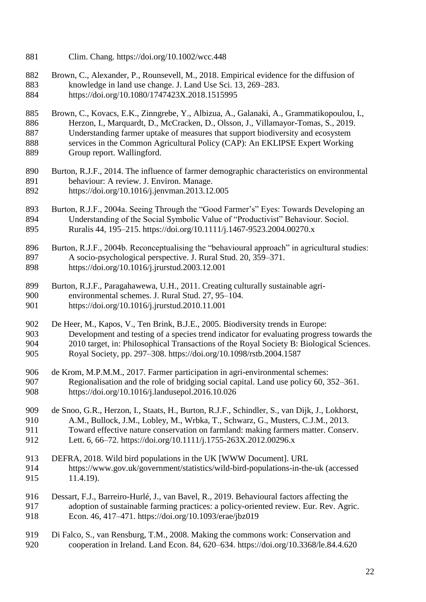- Clim. Chang. https://doi.org/10.1002/wcc.448
- Brown, C., Alexander, P., Rounsevell, M., 2018. Empirical evidence for the diffusion of knowledge in land use change. J. Land Use Sci. 13, 269–283. https://doi.org/10.1080/1747423X.2018.1515995
- Brown, C., Kovacs, E.K., Zinngrebe, Y., Albizua, A., Galanaki, A., Grammatikopoulou, I., Herzon, I., Marquardt, D., McCracken, D., Olsson, J., Villamayor-Tomas, S., 2019. Understanding farmer uptake of measures that support biodiversity and ecosystem services in the Common Agricultural Policy (CAP): An EKLIPSE Expert Working Group report. Wallingford.
- Burton, R.J.F., 2014. The influence of farmer demographic characteristics on environmental behaviour: A review. J. Environ. Manage. https://doi.org/10.1016/j.jenvman.2013.12.005
- Burton, R.J.F., 2004a. Seeing Through the "Good Farmer's" Eyes: Towards Developing an Understanding of the Social Symbolic Value of "Productivist" Behaviour. Sociol. Ruralis 44, 195–215. https://doi.org/10.1111/j.1467-9523.2004.00270.x
- Burton, R.J.F., 2004b. Reconceptualising the "behavioural approach" in agricultural studies: A socio-psychological perspective. J. Rural Stud. 20, 359–371. https://doi.org/10.1016/j.jrurstud.2003.12.001
- Burton, R.J.F., Paragahawewa, U.H., 2011. Creating culturally sustainable agri- environmental schemes. J. Rural Stud. 27, 95–104. https://doi.org/10.1016/j.jrurstud.2010.11.001
- De Heer, M., Kapos, V., Ten Brink, B.J.E., 2005. Biodiversity trends in Europe: Development and testing of a species trend indicator for evaluating progress towards the 2010 target, in: Philosophical Transactions of the Royal Society B: Biological Sciences. Royal Society, pp. 297–308. https://doi.org/10.1098/rstb.2004.1587
- de Krom, M.P.M.M., 2017. Farmer participation in agri-environmental schemes: Regionalisation and the role of bridging social capital. Land use policy 60, 352–361. https://doi.org/10.1016/j.landusepol.2016.10.026
- de Snoo, G.R., Herzon, I., Staats, H., Burton, R.J.F., Schindler, S., van Dijk, J., Lokhorst, A.M., Bullock, J.M., Lobley, M., Wrbka, T., Schwarz, G., Musters, C.J.M., 2013. Toward effective nature conservation on farmland: making farmers matter. Conserv. Lett. 6, 66–72. https://doi.org/10.1111/j.1755-263X.2012.00296.x
- DEFRA, 2018. Wild bird populations in the UK [WWW Document]. URL https://www.gov.uk/government/statistics/wild-bird-populations-in-the-uk (accessed 11.4.19).
- Dessart, F.J., Barreiro-Hurlé, J., van Bavel, R., 2019. Behavioural factors affecting the adoption of sustainable farming practices: a policy-oriented review. Eur. Rev. Agric. Econ. 46, 417–471. https://doi.org/10.1093/erae/jbz019
- Di Falco, S., van Rensburg, T.M., 2008. Making the commons work: Conservation and cooperation in Ireland. Land Econ. 84, 620–634. https://doi.org/10.3368/le.84.4.620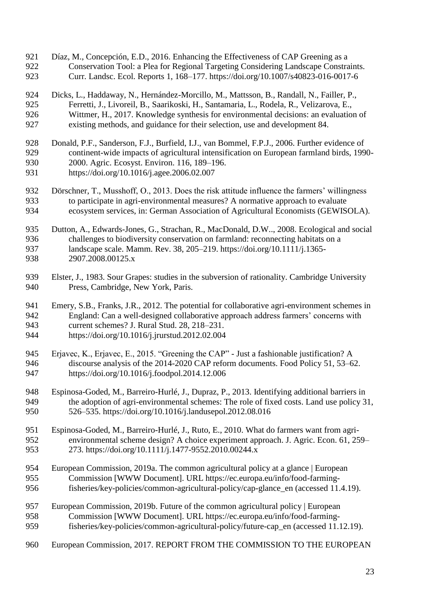Díaz, M., Concepción, E.D., 2016. Enhancing the Effectiveness of CAP Greening as a Conservation Tool: a Plea for Regional Targeting Considering Landscape Constraints. Curr. Landsc. Ecol. Reports 1, 168–177. https://doi.org/10.1007/s40823-016-0017-6 Dicks, L., Haddaway, N., Hernández-Morcillo, M., Mattsson, B., Randall, N., Failler, P., Ferretti, J., Livoreil, B., Saarikoski, H., Santamaria, L., Rodela, R., Velizarova, E., Wittmer, H., 2017. Knowledge synthesis for environmental decisions: an evaluation of existing methods, and guidance for their selection, use and development 84. Donald, P.F., Sanderson, F.J., Burfield, I.J., van Bommel, F.P.J., 2006. Further evidence of continent-wide impacts of agricultural intensification on European farmland birds, 1990- 2000. Agric. Ecosyst. Environ. 116, 189–196. https://doi.org/10.1016/j.agee.2006.02.007 Dörschner, T., Musshoff, O., 2013. Does the risk attitude influence the farmers' willingness to participate in agri-environmental measures? A normative approach to evaluate ecosystem services, in: German Association of Agricultural Economists (GEWISOLA). Dutton, A., Edwards-Jones, G., Strachan, R., MacDonald, D.W.., 2008. Ecological and social challenges to biodiversity conservation on farmland: reconnecting habitats on a landscape scale. Mamm. Rev. 38, 205–219. https://doi.org/10.1111/j.1365- 2907.2008.00125.x Elster, J., 1983. Sour Grapes: studies in the subversion of rationality. Cambridge University Press, Cambridge, New York, Paris. Emery, S.B., Franks, J.R., 2012. The potential for collaborative agri-environment schemes in England: Can a well-designed collaborative approach address farmers' concerns with current schemes? J. Rural Stud. 28, 218–231. https://doi.org/10.1016/j.jrurstud.2012.02.004 Erjavec, K., Erjavec, E., 2015. "Greening the CAP" - Just a fashionable justification? A discourse analysis of the 2014-2020 CAP reform documents. Food Policy 51, 53–62. https://doi.org/10.1016/j.foodpol.2014.12.006 Espinosa-Goded, M., Barreiro-Hurlé, J., Dupraz, P., 2013. Identifying additional barriers in the adoption of agri-environmental schemes: The role of fixed costs. Land use policy 31, 526–535. https://doi.org/10.1016/j.landusepol.2012.08.016 Espinosa-Goded, M., Barreiro-Hurlé, J., Ruto, E., 2010. What do farmers want from agri- environmental scheme design? A choice experiment approach. J. Agric. Econ. 61, 259– 273. https://doi.org/10.1111/j.1477-9552.2010.00244.x European Commission, 2019a. The common agricultural policy at a glance | European Commission [WWW Document]. URL https://ec.europa.eu/info/food-farming- fisheries/key-policies/common-agricultural-policy/cap-glance\_en (accessed 11.4.19). European Commission, 2019b. Future of the common agricultural policy | European Commission [WWW Document]. URL https://ec.europa.eu/info/food-farming- fisheries/key-policies/common-agricultural-policy/future-cap\_en (accessed 11.12.19). European Commission, 2017. REPORT FROM THE COMMISSION TO THE EUROPEAN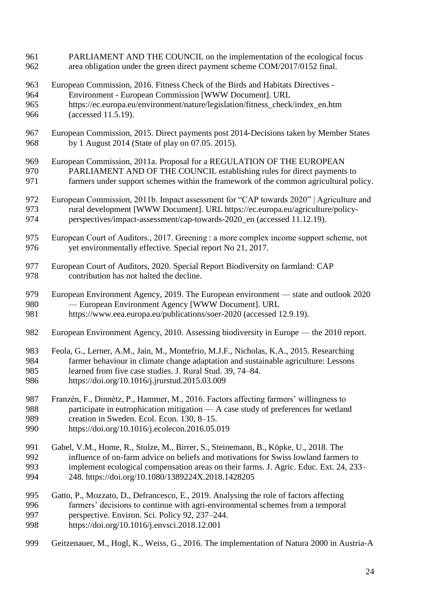PARLIAMENT AND THE COUNCIL on the implementation of the ecological focus area obligation under the green direct payment scheme COM/2017/0152 final. European Commission, 2016. Fitness Check of the Birds and Habitats Directives - Environment - European Commission [WWW Document]. URL https://ec.europa.eu/environment/nature/legislation/fitness\_check/index\_en.htm (accessed 11.5.19). European Commission, 2015. Direct payments post 2014-Decisions taken by Member States by 1 August 2014 (State of play on 07.05. 2015). European Commission, 2011a. Proposal for a REGULATION OF THE EUROPEAN PARLIAMENT AND OF THE COUNCIL establishing rules for direct payments to farmers under support schemes within the framework of the common agricultural policy. European Commission, 2011b. Impact assessment for "CAP towards 2020" | Agriculture and rural development [WWW Document]. URL https://ec.europa.eu/agriculture/policy- perspectives/impact-assessment/cap-towards-2020\_en (accessed 11.12.19). European Court of Auditors., 2017. Greening : a more complex income support scheme, not yet environmentally effective. Special report No 21, 2017. European Court of Auditors, 2020. Special Report Biodiversity on farmland: CAP contribution has not halted the decline. European Environment Agency, 2019. The European environment — state and outlook 2020 — European Environment Agency [WWW Document]. URL https://www.eea.europa.eu/publications/soer-2020 (accessed 12.9.19). European Environment Agency, 2010. Assessing biodiversity in Europe — the 2010 report. Feola, G., Lerner, A.M., Jain, M., Montefrio, M.J.F., Nicholas, K.A., 2015. Researching farmer behaviour in climate change adaptation and sustainable agriculture: Lessons learned from five case studies. J. Rural Stud. 39, 74–84. https://doi.org/10.1016/j.jrurstud.2015.03.009 Franzén, F., Dinnétz, P., Hammer, M., 2016. Factors affecting farmers' willingness to participate in eutrophication mitigation — A case study of preferences for wetland creation in Sweden. Ecol. Econ. 130, 8–15. https://doi.org/10.1016/j.ecolecon.2016.05.019 Gabel, V.M., Home, R., Stolze, M., Birrer, S., Steinemann, B., Köpke, U., 2018. The influence of on-farm advice on beliefs and motivations for Swiss lowland farmers to implement ecological compensation areas on their farms. J. Agric. Educ. Ext. 24, 233– 248. https://doi.org/10.1080/1389224X.2018.1428205 Gatto, P., Mozzato, D., Defrancesco, E., 2019. Analysing the role of factors affecting farmers' decisions to continue with agri-environmental schemes from a temporal perspective. Environ. Sci. Policy 92, 237–244. https://doi.org/10.1016/j.envsci.2018.12.001 Geitzenauer, M., Hogl, K., Weiss, G., 2016. The implementation of Natura 2000 in Austria-A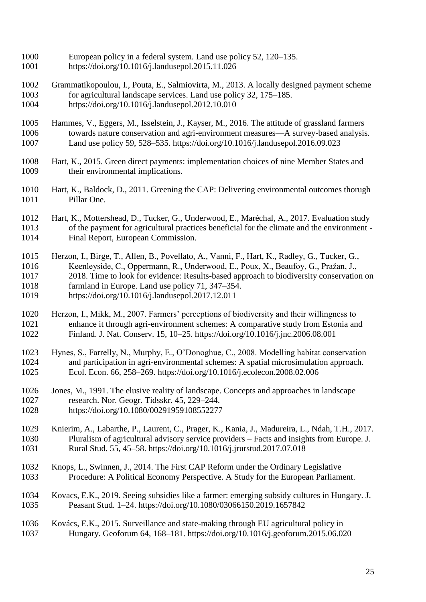- European policy in a federal system. Land use policy 52, 120–135.
- https://doi.org/10.1016/j.landusepol.2015.11.026
- Grammatikopoulou, I., Pouta, E., Salmiovirta, M., 2013. A locally designed payment scheme for agricultural landscape services. Land use policy 32, 175–185. https://doi.org/10.1016/j.landusepol.2012.10.010
- Hammes, V., Eggers, M., Isselstein, J., Kayser, M., 2016. The attitude of grassland farmers towards nature conservation and agri-environment measures—A survey-based analysis. Land use policy 59, 528–535. https://doi.org/10.1016/j.landusepol.2016.09.023
- Hart, K., 2015. Green direct payments: implementation choices of nine Member States and their environmental implications.
- Hart, K., Baldock, D., 2011. Greening the CAP: Delivering environmental outcomes thorugh Pillar One.
- Hart, K., Mottershead, D., Tucker, G., Underwood, E., Maréchal, A., 2017. Evaluation study of the payment for agricultural practices beneficial for the climate and the environment - Final Report, European Commission.
- Herzon, I., Birge, T., Allen, B., Povellato, A., Vanni, F., Hart, K., Radley, G., Tucker, G., Keenleyside, C., Oppermann, R., Underwood, E., Poux, X., Beaufoy, G., Pražan, J., 2018. Time to look for evidence: Results-based approach to biodiversity conservation on farmland in Europe. Land use policy 71, 347–354. https://doi.org/10.1016/j.landusepol.2017.12.011
- Herzon, I., Mikk, M., 2007. Farmers' perceptions of biodiversity and their willingness to enhance it through agri-environment schemes: A comparative study from Estonia and Finland. J. Nat. Conserv. 15, 10–25. https://doi.org/10.1016/j.jnc.2006.08.001
- Hynes, S., Farrelly, N., Murphy, E., O'Donoghue, C., 2008. Modelling habitat conservation and participation in agri-environmental schemes: A spatial microsimulation approach. Ecol. Econ. 66, 258–269. https://doi.org/10.1016/j.ecolecon.2008.02.006
- 1026 Jones, M., 1991. The elusive reality of landscape. Concepts and approaches in landscape<br>1027 research. Nor. Geogr. Tidsskr. 45, 229–244. research. Nor. Geogr. Tidsskr. 45, 229–244. https://doi.org/10.1080/00291959108552277
- Knierim, A., Labarthe, P., Laurent, C., Prager, K., Kania, J., Madureira, L., Ndah, T.H., 2017. Pluralism of agricultural advisory service providers – Facts and insights from Europe. J. Rural Stud. 55, 45–58. https://doi.org/10.1016/j.jrurstud.2017.07.018
- Knops, L., Swinnen, J., 2014. The First CAP Reform under the Ordinary Legislative Procedure: A Political Economy Perspective. A Study for the European Parliament.
- Kovacs, E.K., 2019. Seeing subsidies like a farmer: emerging subsidy cultures in Hungary. J. Peasant Stud. 1–24. https://doi.org/10.1080/03066150.2019.1657842
- Kovács, E.K., 2015. Surveillance and state-making through EU agricultural policy in Hungary. Geoforum 64, 168–181. https://doi.org/10.1016/j.geoforum.2015.06.020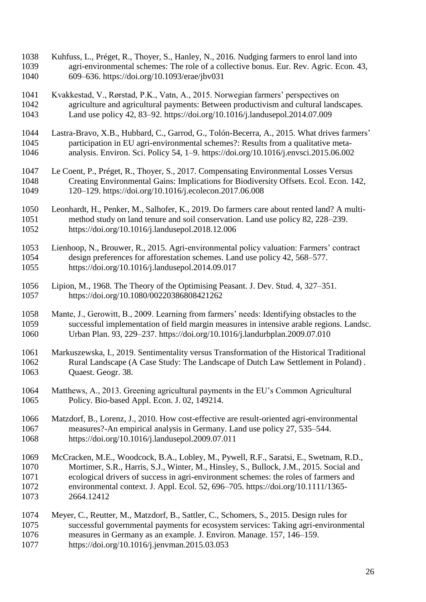Kuhfuss, L., Préget, R., Thoyer, S., Hanley, N., 2016. Nudging farmers to enrol land into agri-environmental schemes: The role of a collective bonus. Eur. Rev. Agric. Econ. 43, 609–636. https://doi.org/10.1093/erae/jbv031 Kvakkestad, V., Rørstad, P.K., Vatn, A., 2015. Norwegian farmers' perspectives on agriculture and agricultural payments: Between productivism and cultural landscapes. Land use policy 42, 83–92. https://doi.org/10.1016/j.landusepol.2014.07.009 Lastra-Bravo, X.B., Hubbard, C., Garrod, G., Tolón-Becerra, A., 2015. What drives farmers' participation in EU agri-environmental schemes?: Results from a qualitative meta- analysis. Environ. Sci. Policy 54, 1–9. https://doi.org/10.1016/j.envsci.2015.06.002 Le Coent, P., Préget, R., Thoyer, S., 2017. Compensating Environmental Losses Versus Creating Environmental Gains: Implications for Biodiversity Offsets. Ecol. Econ. 142, 120–129. https://doi.org/10.1016/j.ecolecon.2017.06.008 Leonhardt, H., Penker, M., Salhofer, K., 2019. Do farmers care about rented land? A multi- method study on land tenure and soil conservation. Land use policy 82, 228–239. https://doi.org/10.1016/j.landusepol.2018.12.006 Lienhoop, N., Brouwer, R., 2015. Agri-environmental policy valuation: Farmers' contract design preferences for afforestation schemes. Land use policy 42, 568–577. https://doi.org/10.1016/j.landusepol.2014.09.017 Lipion, M., 1968. The Theory of the Optimising Peasant. J. Dev. Stud. 4, 327–351. https://doi.org/10.1080/00220386808421262 Mante, J., Gerowitt, B., 2009. Learning from farmers' needs: Identifying obstacles to the successful implementation of field margin measures in intensive arable regions. Landsc. Urban Plan. 93, 229–237. https://doi.org/10.1016/j.landurbplan.2009.07.010 Markuszewska, I., 2019. Sentimentality versus Transformation of the Historical Traditional Rural Landscape (A Case Study: The Landscape of Dutch Law Settlement in Poland) . 1063 Ouaest. Geogr. 38. Matthews, A., 2013. Greening agricultural payments in the EU's Common Agricultural Policy. Bio-based Appl. Econ. J. 02, 149214. Matzdorf, B., Lorenz, J., 2010. How cost-effective are result-oriented agri-environmental measures?-An empirical analysis in Germany. Land use policy 27, 535–544. https://doi.org/10.1016/j.landusepol.2009.07.011 McCracken, M.E., Woodcock, B.A., Lobley, M., Pywell, R.F., Saratsi, E., Swetnam, R.D., Mortimer, S.R., Harris, S.J., Winter, M., Hinsley, S., Bullock, J.M., 2015. Social and ecological drivers of success in agri-environment schemes: the roles of farmers and environmental context. J. Appl. Ecol. 52, 696–705. https://doi.org/10.1111/1365- 2664.12412 Meyer, C., Reutter, M., Matzdorf, B., Sattler, C., Schomers, S., 2015. Design rules for successful governmental payments for ecosystem services: Taking agri-environmental measures in Germany as an example. J. Environ. Manage. 157, 146–159. https://doi.org/10.1016/j.jenvman.2015.03.053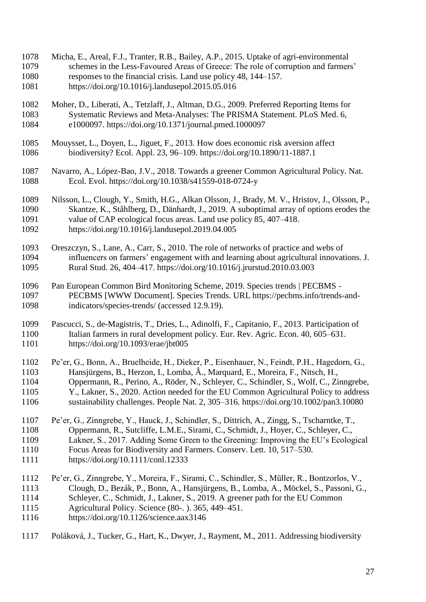- Micha, E., Areal, F.J., Tranter, R.B., Bailey, A.P., 2015. Uptake of agri-environmental schemes in the Less-Favoured Areas of Greece: The role of corruption and farmers' responses to the financial crisis. Land use policy 48, 144–157. https://doi.org/10.1016/j.landusepol.2015.05.016
- Moher, D., Liberati, A., Tetzlaff, J., Altman, D.G., 2009. Preferred Reporting Items for 1083 Systematic Reviews and Meta-Analyses: The PRISMA Statement. PLoS Med. 6, e1000097. https://doi.org/10.1371/journal.pmed.1000097 e1000097. https://doi.org/10.1371/journal.pmed.1000097
- Mouysset, L., Doyen, L., Jiguet, F., 2013. How does economic risk aversion affect biodiversity? Ecol. Appl. 23, 96–109. https://doi.org/10.1890/11-1887.1
- Navarro, A., López-Bao, J.V., 2018. Towards a greener Common Agricultural Policy. Nat. Ecol. Evol. https://doi.org/10.1038/s41559-018-0724-y
- Nilsson, L., Clough, Y., Smith, H.G., Alkan Olsson, J., Brady, M. V., Hristov, J., Olsson, P., Skantze, K., Ståhlberg, D., Dänhardt, J., 2019. A suboptimal array of options erodes the value of CAP ecological focus areas. Land use policy 85, 407–418. https://doi.org/10.1016/j.landusepol.2019.04.005
- Oreszczyn, S., Lane, A., Carr, S., 2010. The role of networks of practice and webs of influencers on farmers' engagement with and learning about agricultural innovations. J. Rural Stud. 26, 404–417. https://doi.org/10.1016/j.jrurstud.2010.03.003
- Pan European Common Bird Monitoring Scheme, 2019. Species trends | PECBMS PECBMS [WWW Document]. Species Trends. URL https://pecbms.info/trends-and-indicators/species-trends/ (accessed 12.9.19).
- Pascucci, S., de-Magistris, T., Dries, L., Adinolfi, F., Capitanio, F., 2013. Participation of Italian farmers in rural development policy. Eur. Rev. Agric. Econ. 40, 605–631. https://doi.org/10.1093/erae/jbt005
- Pe'er, G., Bonn, A., Bruelheide, H., Dieker, P., Eisenhauer, N., Feindt, P.H., Hagedorn, G., Hansjürgens, B., Herzon, I., Lomba, Â., Marquard, E., Moreira, F., Nitsch, H., Oppermann, R., Perino, A., Röder, N., Schleyer, C., Schindler, S., Wolf, C., Zinngrebe, Y., Lakner, S., 2020. Action needed for the EU Common Agricultural Policy to address sustainability challenges. People Nat. 2, 305–316. https://doi.org/10.1002/pan3.10080
- Pe'er, G., Zinngrebe, Y., Hauck, J., Schindler, S., Dittrich, A., Zingg, S., Tscharntke, T., Oppermann, R., Sutcliffe, L.M.E., Sirami, C., Schmidt, J., Hoyer, C., Schleyer, C., Lakner, S., 2017. Adding Some Green to the Greening: Improving the EU's Ecological Focus Areas for Biodiversity and Farmers. Conserv. Lett. 10, 517–530.
- https://doi.org/10.1111/conl.12333
- Pe'er, G., Zinngrebe, Y., Moreira, F., Sirami, C., Schindler, S., Müller, R., Bontzorlos, V., Clough, D., Bezák, P., Bonn, A., Hansjürgens, B., Lomba, A., Möckel, S., Passoni, G.,
- Schleyer, C., Schmidt, J., Lakner, S., 2019. A greener path for the EU Common
- Agricultural Policy. Science (80-. ). 365, 449–451.
- https://doi.org/10.1126/science.aax3146
- Poláková, J., Tucker, G., Hart, K., Dwyer, J., Rayment, M., 2011. Addressing biodiversity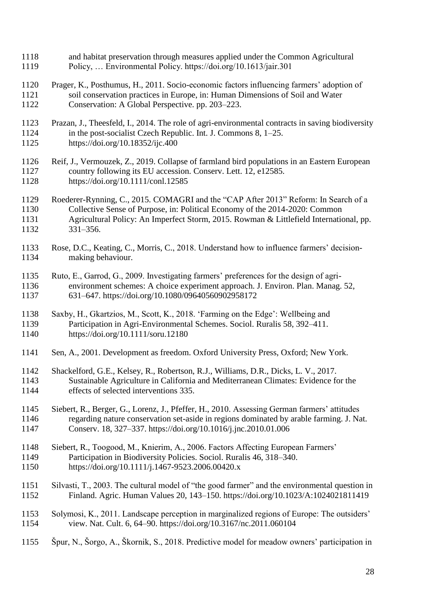- and habitat preservation through measures applied under the Common Agricultural Policy, … Environmental Policy. https://doi.org/10.1613/jair.301
- Prager, K., Posthumus, H., 2011. Socio-economic factors influencing farmers' adoption of soil conservation practices in Europe, in: Human Dimensions of Soil and Water Conservation: A Global Perspective. pp. 203–223.
- Prazan, J., Theesfeld, I., 2014. The role of agri-environmental contracts in saving biodiversity in the post-socialist Czech Republic. Int. J. Commons 8, 1–25.
- https://doi.org/10.18352/ijc.400
- Reif, J., Vermouzek, Z., 2019. Collapse of farmland bird populations in an Eastern European country following its EU accession. Conserv. Lett. 12, e12585. https://doi.org/10.1111/conl.12585
- Roederer-Rynning, C., 2015. COMAGRI and the "CAP After 2013" Reform: In Search of a Collective Sense of Purpose, in: Political Economy of the 2014-2020: Common Agricultural Policy: An Imperfect Storm, 2015. Rowman & Littlefield International, pp. 331–356.
- Rose, D.C., Keating, C., Morris, C., 2018. Understand how to influence farmers' decision-making behaviour.
- Ruto, E., Garrod, G., 2009. Investigating farmers' preferences for the design of agri- environment schemes: A choice experiment approach. J. Environ. Plan. Manag. 52, 631–647. https://doi.org/10.1080/09640560902958172
- Saxby, H., Gkartzios, M., Scott, K., 2018. 'Farming on the Edge': Wellbeing and Participation in Agri-Environmental Schemes. Sociol. Ruralis 58, 392–411. https://doi.org/10.1111/soru.12180
- Sen, A., 2001. Development as freedom. Oxford University Press, Oxford; New York.
- Shackelford, G.E., Kelsey, R., Robertson, R.J., Williams, D.R., Dicks, L. V., 2017. Sustainable Agriculture in California and Mediterranean Climates: Evidence for the effects of selected interventions 335.
- Siebert, R., Berger, G., Lorenz, J., Pfeffer, H., 2010. Assessing German farmers' attitudes regarding nature conservation set-aside in regions dominated by arable farming. J. Nat. Conserv. 18, 327–337. https://doi.org/10.1016/j.jnc.2010.01.006
- Siebert, R., Toogood, M., Knierim, A., 2006. Factors Affecting European Farmers' Participation in Biodiversity Policies. Sociol. Ruralis 46, 318–340. https://doi.org/10.1111/j.1467-9523.2006.00420.x
- Silvasti, T., 2003. The cultural model of "the good farmer" and the environmental question in Finland. Agric. Human Values 20, 143–150. https://doi.org/10.1023/A:1024021811419
- Solymosi, K., 2011. Landscape perception in marginalized regions of Europe: The outsiders' view. Nat. Cult. 6, 64–90. https://doi.org/10.3167/nc.2011.060104
- Špur, N., Šorgo, A., Škornik, S., 2018. Predictive model for meadow owners' participation in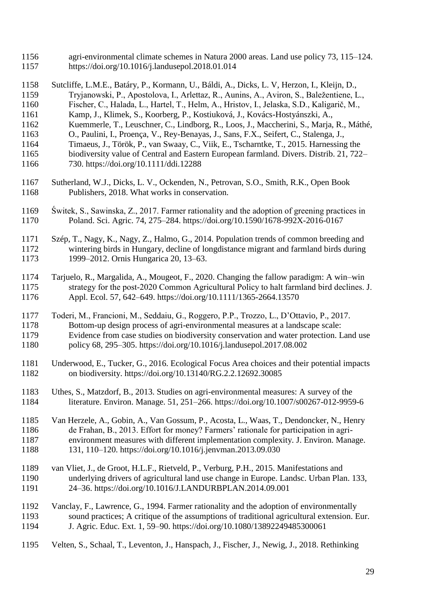- agri-environmental climate schemes in Natura 2000 areas. Land use policy 73, 115–124. https://doi.org/10.1016/j.landusepol.2018.01.014
- Sutcliffe, L.M.E., Batáry, P., Kormann, U., Báldi, A., Dicks, L. V, Herzon, I., Kleijn, D., Tryjanowski, P., Apostolova, I., Arlettaz, R., Aunins, A., Aviron, S., Baležentiene, L.,
- Fischer, C., Halada, L., Hartel, T., Helm, A., Hristov, I., Jelaska, S.D., Kaligarič, M.,
- Kamp, J., Klimek, S., Koorberg, P., Kostiuková, J., Kovács-Hostyánszki, A.,
- Kuemmerle, T., Leuschner, C., Lindborg, R., Loos, J., Maccherini, S., Marja, R., Máthé,
- O., Paulini, I., Proença, V., Rey-Benayas, J., Sans, F.X., Seifert, C., Stalenga, J.,
- Timaeus, J., Török, P., van Swaay, C., Viik, E., Tscharntke, T., 2015. Harnessing the
- biodiversity value of Central and Eastern European farmland. Divers. Distrib. 21, 722–
- 730. https://doi.org/10.1111/ddi.12288
- Sutherland, W.J., Dicks, L. V., Ockenden, N., Petrovan, S.O., Smith, R.K., Open Book Publishers, 2018. What works in conservation.
- Świtek, S., Sawinska, Z., 2017. Farmer rationality and the adoption of greening practices in Poland. Sci. Agric. 74, 275–284. https://doi.org/10.1590/1678-992X-2016-0167
- Szép, T., Nagy, K., Nagy, Z., Halmo, G., 2014. Population trends of common breeding and wintering birds in Hungary, decline of longdistance migrant and farmland birds during 1999–2012. Ornis Hungarica 20, 13–63.
- Tarjuelo, R., Margalida, A., Mougeot, F., 2020. Changing the fallow paradigm: A win–win 1175 strategy for the post-2020 Common Agricultural Policy to halt farmland bird declines. J. Appl. Ecol. 57, 642–649. https://doi.org/10.1111/1365-2664.13570
- Toderi, M., Francioni, M., Seddaiu, G., Roggero, P.P., Trozzo, L., D'Ottavio, P., 2017.
- Bottom-up design process of agri-environmental measures at a landscape scale:
- Evidence from case studies on biodiversity conservation and water protection. Land use policy 68, 295–305. https://doi.org/10.1016/j.landusepol.2017.08.002
- Underwood, E., Tucker, G., 2016. Ecological Focus Area choices and their potential impacts on biodiversity. https://doi.org/10.13140/RG.2.2.12692.30085
- Uthes, S., Matzdorf, B., 2013. Studies on agri-environmental measures: A survey of the literature. Environ. Manage. 51, 251–266. https://doi.org/10.1007/s00267-012-9959-6
- Van Herzele, A., Gobin, A., Van Gossum, P., Acosta, L., Waas, T., Dendoncker, N., Henry de Frahan, B., 2013. Effort for money? Farmers' rationale for participation in agri- environment measures with different implementation complexity. J. Environ. Manage. 131, 110–120. https://doi.org/10.1016/j.jenvman.2013.09.030
- van Vliet, J., de Groot, H.L.F., Rietveld, P., Verburg, P.H., 2015. Manifestations and underlying drivers of agricultural land use change in Europe. Landsc. Urban Plan. 133, 24–36. https://doi.org/10.1016/J.LANDURBPLAN.2014.09.001
- Vanclay, F., Lawrence, G., 1994. Farmer rationality and the adoption of environmentally sound practices; A critique of the assumptions of traditional agricultural extension. Eur. J. Agric. Educ. Ext. 1, 59–90. https://doi.org/10.1080/13892249485300061
- Velten, S., Schaal, T., Leventon, J., Hanspach, J., Fischer, J., Newig, J., 2018. Rethinking